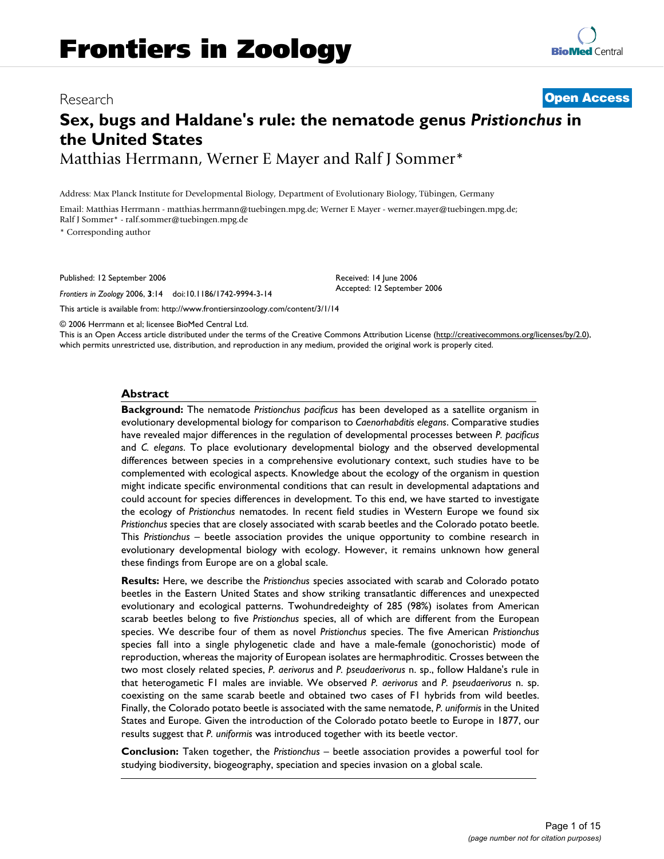# Research **[Open Access](http://www.biomedcentral.com/info/about/charter/)**

# **Sex, bugs and Haldane's rule: the nematode genus** *Pristionchus* **in the United States** Matthias Herrmann, Werner E Mayer and Ralf J Sommer\*

Address: Max Planck Institute for Developmental Biology, Department of Evolutionary Biology, Tübingen, Germany

Email: Matthias Herrmann - matthias.herrmann@tuebingen.mpg.de; Werner E Mayer - werner.mayer@tuebingen.mpg.de; Ralf J Sommer\* - ralf.sommer@tuebingen.mpg.de

\* Corresponding author

Published: 12 September 2006

*Frontiers in Zoology* 2006, **3**:14 doi:10.1186/1742-9994-3-14

[This article is available from: http://www.frontiersinzoology.com/content/3/1/14](http://www.frontiersinzoology.com/content/3/1/14)

© 2006 Herrmann et al; licensee BioMed Central Ltd.

This is an Open Access article distributed under the terms of the Creative Commons Attribution License [\(http://creativecommons.org/licenses/by/2.0\)](http://creativecommons.org/licenses/by/2.0), which permits unrestricted use, distribution, and reproduction in any medium, provided the original work is properly cited.

Received: 14 June 2006 Accepted: 12 September 2006

#### **Abstract**

**Background:** The nematode *Pristionchus pacificus* has been developed as a satellite organism in evolutionary developmental biology for comparison to *Caenorhabditis elegans*. Comparative studies have revealed major differences in the regulation of developmental processes between *P. pacificus* and *C. elegans*. To place evolutionary developmental biology and the observed developmental differences between species in a comprehensive evolutionary context, such studies have to be complemented with ecological aspects. Knowledge about the ecology of the organism in question might indicate specific environmental conditions that can result in developmental adaptations and could account for species differences in development. To this end, we have started to investigate the ecology of *Pristionchus* nematodes. In recent field studies in Western Europe we found six *Pristionchus* species that are closely associated with scarab beetles and the Colorado potato beetle. This *Pristionchus* – beetle association provides the unique opportunity to combine research in evolutionary developmental biology with ecology. However, it remains unknown how general these findings from Europe are on a global scale.

**Results:** Here, we describe the *Pristionchus* species associated with scarab and Colorado potato beetles in the Eastern United States and show striking transatlantic differences and unexpected evolutionary and ecological patterns. Twohundredeighty of 285 (98%) isolates from American scarab beetles belong to five *Pristionchus* species, all of which are different from the European species. We describe four of them as novel *Pristionchus* species. The five American *Pristionchus* species fall into a single phylogenetic clade and have a male-female (gonochoristic) mode of reproduction, whereas the majority of European isolates are hermaphroditic. Crosses between the two most closely related species, *P. aerivorus* and *P. pseudaerivorus* n. sp., follow Haldane's rule in that heterogametic F1 males are inviable. We observed *P. aerivorus* and *P. pseudaerivorus* n. sp. coexisting on the same scarab beetle and obtained two cases of F1 hybrids from wild beetles. Finally, the Colorado potato beetle is associated with the same nematode, *P. uniformis* in the United States and Europe. Given the introduction of the Colorado potato beetle to Europe in 1877, our results suggest that *P. uniformis* was introduced together with its beetle vector.

**Conclusion:** Taken together, the *Pristionchus* – beetle association provides a powerful tool for studying biodiversity, biogeography, speciation and species invasion on a global scale.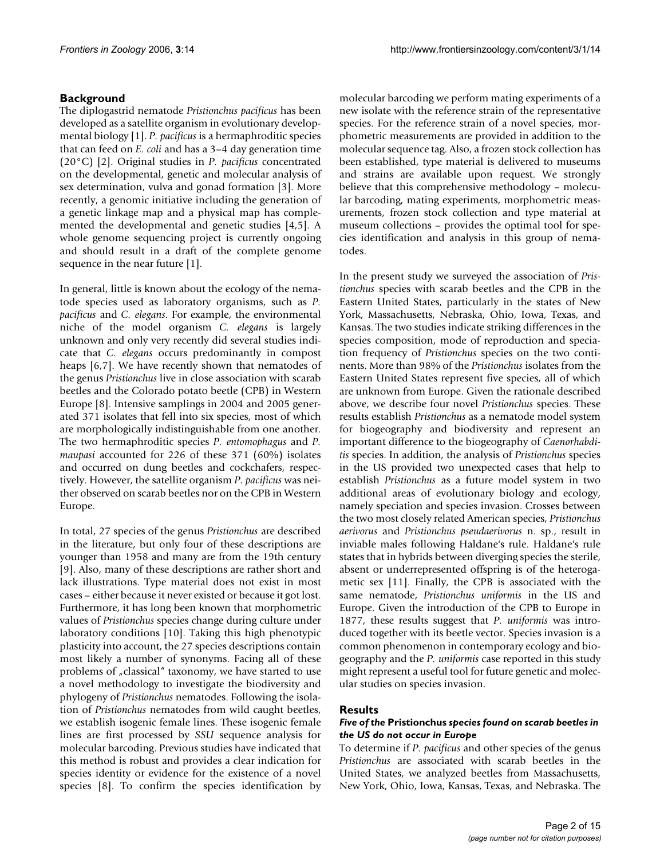## **Background**

The diplogastrid nematode *Pristionchus pacificus* has been developed as a satellite organism in evolutionary developmental biology [1]. *P. pacificus* is a hermaphroditic species that can feed on *E. coli* and has a 3–4 day generation time (20°C) [2]. Original studies in *P. pacificus* concentrated on the developmental, genetic and molecular analysis of sex determination, vulva and gonad formation [3]. More recently, a genomic initiative including the generation of a genetic linkage map and a physical map has complemented the developmental and genetic studies [4,5]. A whole genome sequencing project is currently ongoing and should result in a draft of the complete genome sequence in the near future [1].

In general, little is known about the ecology of the nematode species used as laboratory organisms, such as *P. pacificus* and *C. elegans*. For example, the environmental niche of the model organism *C. elegans* is largely unknown and only very recently did several studies indicate that *C. elegans* occurs predominantly in compost heaps [6,7]. We have recently shown that nematodes of the genus *Pristionchus* live in close association with scarab beetles and the Colorado potato beetle (CPB) in Western Europe [8]. Intensive samplings in 2004 and 2005 generated 371 isolates that fell into six species, most of which are morphologically indistinguishable from one another. The two hermaphroditic species *P. entomophagus* and *P. maupasi* accounted for 226 of these 371 (60%) isolates and occurred on dung beetles and cockchafers, respectively. However, the satellite organism *P. pacificus* was neither observed on scarab beetles nor on the CPB in Western Europe.

In total, 27 species of the genus *Pristionchus* are described in the literature, but only four of these descriptions are younger than 1958 and many are from the 19th century [9]. Also, many of these descriptions are rather short and lack illustrations. Type material does not exist in most cases – either because it never existed or because it got lost. Furthermore, it has long been known that morphometric values of *Pristionchus* species change during culture under laboratory conditions [10]. Taking this high phenotypic plasticity into account, the 27 species descriptions contain most likely a number of synonyms. Facing all of these problems of "classical" taxonomy, we have started to use a novel methodology to investigate the biodiversity and phylogeny of *Pristionchus* nematodes. Following the isolation of *Pristionchus* nematodes from wild caught beetles, we establish isogenic female lines. These isogenic female lines are first processed by *SSU* sequence analysis for molecular barcoding. Previous studies have indicated that this method is robust and provides a clear indication for species identity or evidence for the existence of a novel species [8]. To confirm the species identification by molecular barcoding we perform mating experiments of a new isolate with the reference strain of the representative species. For the reference strain of a novel species, morphometric measurements are provided in addition to the molecular sequence tag. Also, a frozen stock collection has been established, type material is delivered to museums and strains are available upon request. We strongly believe that this comprehensive methodology – molecular barcoding, mating experiments, morphometric measurements, frozen stock collection and type material at museum collections – provides the optimal tool for species identification and analysis in this group of nematodes.

In the present study we surveyed the association of *Pristionchus* species with scarab beetles and the CPB in the Eastern United States, particularly in the states of New York, Massachusetts, Nebraska, Ohio, Iowa, Texas, and Kansas. The two studies indicate striking differences in the species composition, mode of reproduction and speciation frequency of *Pristionchus* species on the two continents. More than 98% of the *Pristionchus* isolates from the Eastern United States represent five species, all of which are unknown from Europe. Given the rationale described above, we describe four novel *Pristionchus* species. These results establish *Pristionchus* as a nematode model system for biogeography and biodiversity and represent an important difference to the biogeography of *Caenorhabditis* species. In addition, the analysis of *Pristionchus* species in the US provided two unexpected cases that help to establish *Pristionchus* as a future model system in two additional areas of evolutionary biology and ecology, namely speciation and species invasion. Crosses between the two most closely related American species, *Pristionchus aerivorus* and *Pristionchus pseudaerivorus* n. sp., result in inviable males following Haldane's rule. Haldane's rule states that in hybrids between diverging species the sterile, absent or underrepresented offspring is of the heterogametic sex [11]. Finally, the CPB is associated with the same nematode, *Pristionchus uniformis* in the US and Europe. Given the introduction of the CPB to Europe in 1877, these results suggest that *P. uniformis* was introduced together with its beetle vector. Species invasion is a common phenomenon in contemporary ecology and biogeography and the *P. uniformis* case reported in this study might represent a useful tool for future genetic and molecular studies on species invasion.

## **Results**

## *Five of the* **Pristionchus** *species found on scarab beetles in the US do not occur in Europe*

To determine if *P. pacificus* and other species of the genus *Pristionchus* are associated with scarab beetles in the United States, we analyzed beetles from Massachusetts, New York, Ohio, Iowa, Kansas, Texas, and Nebraska. The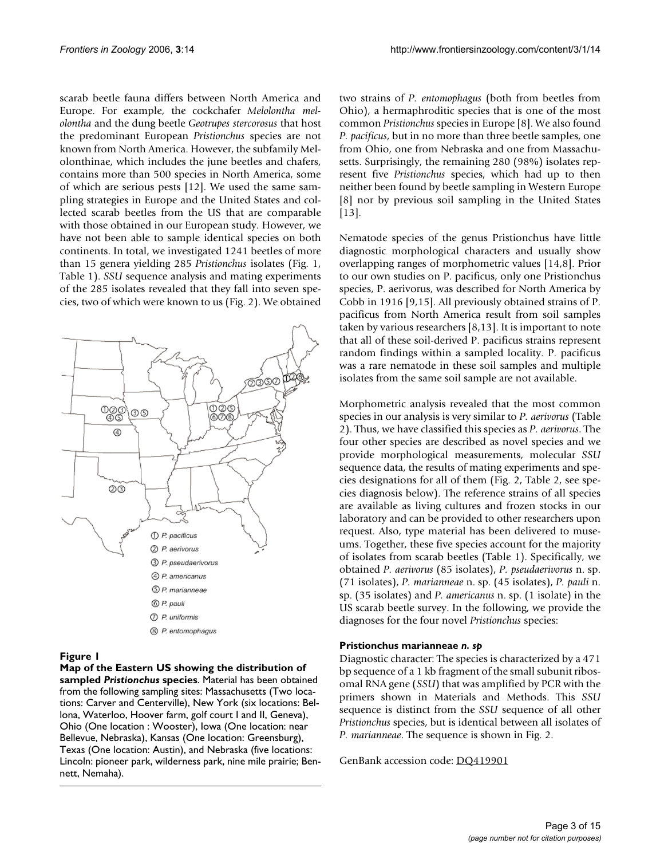scarab beetle fauna differs between North America and Europe. For example, the cockchafer *Melolontha melolontha* and the dung beetle *Geotrupes stercorosus* that host the predominant European *Pristionchus* species are not known from North America. However, the subfamily Melolonthinae, which includes the june beetles and chafers, contains more than 500 species in North America, some of which are serious pests [12]. We used the same sampling strategies in Europe and the United States and collected scarab beetles from the US that are comparable with those obtained in our European study. However, we have not been able to sample identical species on both continents. In total, we investigated 1241 beetles of more than 15 genera yielding 285 *Pristionchus* isolates (Fig. 1, Table 1). *SSU* sequence analysis and mating experiments of the 285 isolates revealed that they fall into seven species, two of which were known to us (Fig. 2). We obtained



#### Figure 1

**Map of the Eastern US showing the distribution of sampled** *Pristionchus* **species**. Material has been obtained from the following sampling sites: Massachusetts (Two locations: Carver and Centerville), New York (six locations: Bellona, Waterloo, Hoover farm, golf court I and II, Geneva), Ohio (One location : Wooster), Iowa (One location: near Bellevue, Nebraska), Kansas (One location: Greensburg), Texas (One location: Austin), and Nebraska (five locations: Lincoln: pioneer park, wilderness park, nine mile prairie; Bennett, Nemaha).

two strains of *P. entomophagus* (both from beetles from Ohio), a hermaphroditic species that is one of the most common *Pristionchus* species in Europe [8]. We also found *P. pacificus*, but in no more than three beetle samples, one from Ohio, one from Nebraska and one from Massachusetts. Surprisingly, the remaining 280 (98%) isolates represent five *Pristionchus* species, which had up to then neither been found by beetle sampling in Western Europe [8] nor by previous soil sampling in the United States [13].

Nematode species of the genus Pristionchus have little diagnostic morphological characters and usually show overlapping ranges of morphometric values [14,8]. Prior to our own studies on P. pacificus, only one Pristionchus species, P. aerivorus, was described for North America by Cobb in 1916 [9,15]. All previously obtained strains of P. pacificus from North America result from soil samples taken by various researchers [8,13]. It is important to note that all of these soil-derived P. pacificus strains represent random findings within a sampled locality. P. pacificus was a rare nematode in these soil samples and multiple isolates from the same soil sample are not available.

Morphometric analysis revealed that the most common species in our analysis is very similar to *P. aerivorus* (Table 2). Thus, we have classified this species as *P. aerivorus*. The four other species are described as novel species and we provide morphological measurements, molecular *SSU* sequence data, the results of mating experiments and species designations for all of them (Fig. 2, Table 2, see species diagnosis below). The reference strains of all species are available as living cultures and frozen stocks in our laboratory and can be provided to other researchers upon request. Also, type material has been delivered to museums. Together, these five species account for the majority of isolates from scarab beetles (Table 1). Specifically, we obtained *P. aerivorus* (85 isolates), *P. pseudaerivorus* n. sp. (71 isolates), *P. marianneae* n. sp. (45 isolates), *P. pauli* n. sp. (35 isolates) and *P. americanus* n. sp. (1 isolate) in the US scarab beetle survey. In the following, we provide the diagnoses for the four novel *Pristionchus* species:

#### **Pristionchus marianneae** *n. sp*

Diagnostic character: The species is characterized by a 471 bp sequence of a 1 kb fragment of the small subunit ribosomal RNA gene (*SSU*) that was amplified by PCR with the primers shown in Materials and Methods. This *SSU* sequence is distinct from the *SSU* sequence of all other *Pristionchus* species, but is identical between all isolates of *P. marianneae*. The sequence is shown in Fig. 2.

GenBank accession code: [DQ419901](http://www.ncbi.nih.gov/entrez/query.fcgi?db=Nucleotide&cmd=search&term=DQ419901)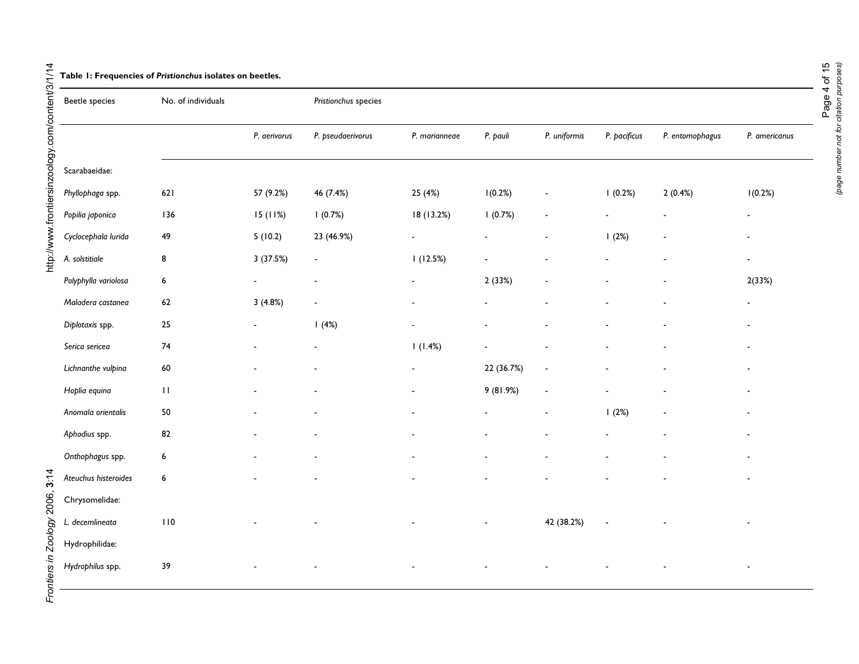| http://www.frontiersinzoology.com/content/3/ | Beetle species       | No. of individuals |              | Pristionchus species |               |            |              |              |                 |               |
|----------------------------------------------|----------------------|--------------------|--------------|----------------------|---------------|------------|--------------|--------------|-----------------|---------------|
|                                              |                      |                    | P. aerivorus | P. pseudaerivorus    | P. marianneae | P. pauli   | P. uniformis | P. pacificus | P. entomophagus | P. americanus |
|                                              | Scarabaeidae:        |                    |              |                      |               |            |              |              |                 |               |
|                                              | Phyllophaga spp.     | 621                | 57 (9.2%)    | 46 (7.4%)            | 25 (4%)       | 1(0.2%)    |              | 1(0.2%)      | 2(0.4%)         | 1(0.2%)       |
|                                              | Popilia japonica     | 136                | 15(11%)      | 1(0.7%)              | 18 (13.2%)    | 1(0.7%)    |              |              |                 |               |
|                                              | Cyclocephala lurida  | 49                 | 5(10.2)      | 23 (46.9%)           |               |            |              | 1(2%)        |                 |               |
|                                              | A. solstitiale       | 8                  | 3 (37.5%)    |                      | 1(12.5%)      |            |              |              |                 |               |
|                                              | Polyphylla variolosa | 6                  |              |                      |               | 2(33%)     |              |              |                 | 2(33%)        |
|                                              | Maladera castanea    | 62                 | 3(4.8%)      |                      |               |            |              |              |                 |               |
|                                              | Diplotaxis spp.      | 25                 |              | 1(4%)                |               |            |              |              |                 |               |
|                                              | Serica sericea       | 74                 |              |                      | 1(1.4%)       |            |              |              |                 |               |
|                                              | Lichnanthe vulpina   | 60                 |              |                      |               | 22 (36.7%) |              |              |                 |               |
|                                              | Hoplia equina        | $\mathbf{H}$       |              |                      |               | 9 (81.9%)  |              |              |                 |               |
|                                              | Anomala orientalis   | 50                 |              |                      |               |            |              | 1(2%)        |                 |               |
|                                              | Aphodius spp.        | 82                 |              |                      |               |            |              |              |                 |               |
|                                              | Onthophagus spp.     | 6                  |              |                      |               |            |              |              |                 |               |
|                                              | Ateuchus histeroides | 6                  |              |                      |               |            |              |              |                 |               |
|                                              | Chrysomelidae:       |                    |              |                      |               |            |              |              |                 |               |
|                                              | L. decemlineata      | 110                |              |                      |               |            | 42 (38.2%)   |              |                 |               |
|                                              | Hydrophilidae:       |                    |              |                      |               |            |              |              |                 |               |
| Frontiers in Zoology 2006, 3:14              | Hydrophilus spp.     | 39                 |              |                      |               |            |              |              |                 |               |
|                                              |                      |                    |              |                      |               |            |              |              |                 |               |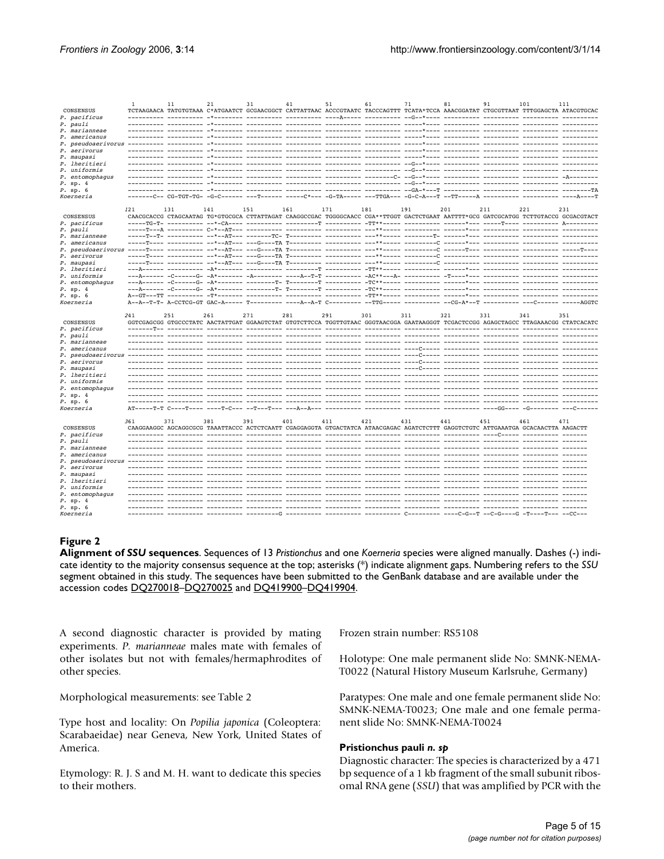|                               | 1   | 11  | 21  | 31                                                                                                                                   | 41  | 51  | 61  | 71  | 81  | 91  | 101 | 111 |
|-------------------------------|-----|-----|-----|--------------------------------------------------------------------------------------------------------------------------------------|-----|-----|-----|-----|-----|-----|-----|-----|
| CONSENSUS                     |     |     |     | TCTAAGAACA TATGTGTAAA C*ATGAATCT GCGAACGGCT CATTATTAAC ACCCGTAATC TACCCAGTTT TCATA*TCCA AAACGGATAT CTGCGTTAAT TTTGGAGCTA ATACGTGCAC  |     |     |     |     |     |     |     |     |
| P. pacificus                  |     |     |     |                                                                                                                                      |     |     |     |     |     |     |     |     |
| P. pauli                      |     |     |     |                                                                                                                                      |     |     |     |     |     |     |     |     |
| P. marianneae                 |     |     |     |                                                                                                                                      |     |     |     |     |     |     |     |     |
| P. americanus                 |     |     |     |                                                                                                                                      |     |     |     |     |     |     |     |     |
|                               |     |     |     |                                                                                                                                      |     |     |     |     |     |     |     |     |
| P. aerivorus                  |     |     |     |                                                                                                                                      |     |     |     |     |     |     |     |     |
|                               |     |     |     |                                                                                                                                      |     |     |     |     |     |     |     |     |
| P. maupasi                    |     |     |     |                                                                                                                                      |     |     |     |     |     |     |     |     |
| P. lheritieri                 |     |     |     |                                                                                                                                      |     |     |     |     |     |     |     |     |
| P. uniformis                  |     |     |     |                                                                                                                                      |     |     |     |     |     |     |     |     |
| P. entomophaqus               |     |     |     |                                                                                                                                      |     |     |     |     |     |     |     |     |
| $P.$ sp. 4                    |     |     |     |                                                                                                                                      |     |     |     |     |     |     |     |     |
| $P.$ sp. $6$                  |     |     |     |                                                                                                                                      |     |     |     |     |     |     |     |     |
| Koerneria                     |     |     |     |                                                                                                                                      |     |     |     |     |     |     |     |     |
|                               |     |     |     |                                                                                                                                      |     |     |     |     |     |     |     |     |
|                               | 121 | 131 | 141 | 151                                                                                                                                  | 161 | 171 | 181 | 191 | 201 | 211 | 221 | 231 |
| CONSENSUS                     |     |     |     | CAACGCACCG CTAGCAATAG TG*GTGCGCA CTTATTAGAT CAAGGCCGAC TGGGGCAACC CGA**TTGGT GACTCTGAAT AATTTT*GCG GATCGCATGG TCTTGTACCG GCGACGTACT  |     |     |     |     |     |     |     |     |
| P. pacificus                  |     |     |     |                                                                                                                                      |     |     |     |     |     |     |     |     |
|                               |     |     |     |                                                                                                                                      |     |     |     |     |     |     |     |     |
| P. pauli                      |     |     |     |                                                                                                                                      |     |     |     |     |     |     |     |     |
| P. marianneae                 |     |     |     |                                                                                                                                      |     |     |     |     |     |     |     |     |
| P. americanus                 |     |     |     |                                                                                                                                      |     |     |     |     |     |     |     |     |
|                               |     |     |     |                                                                                                                                      |     |     |     |     |     |     |     |     |
| P. aerivorus                  |     |     |     |                                                                                                                                      |     |     |     |     |     |     |     |     |
| P. maupasi                    |     |     |     |                                                                                                                                      |     |     |     |     |     |     |     |     |
| P. lheritieri                 |     |     |     |                                                                                                                                      |     |     |     |     |     |     |     |     |
| P. uniformis                  |     |     |     |                                                                                                                                      |     |     |     |     |     |     |     |     |
|                               |     |     |     |                                                                                                                                      |     |     |     |     |     |     |     |     |
| P. entomophaqus               |     |     |     |                                                                                                                                      |     |     |     |     |     |     |     |     |
| $P.$ sp. 4                    |     |     |     |                                                                                                                                      |     |     |     |     |     |     |     |     |
| $P.$ sp. $6$                  |     |     |     |                                                                                                                                      |     |     |     |     |     |     |     |     |
| Koerneria                     |     |     |     | A--A--T-T- A-CCTCG-GT GAC-A----- T--------- ----A--A-T C--------- --TTG----- ---------- --CG-A*--T ----------- ---C------ -----AGGTC |     |     |     |     |     |     |     |     |
|                               |     |     |     |                                                                                                                                      |     |     |     |     |     |     |     |     |
|                               |     |     |     |                                                                                                                                      |     |     |     |     |     |     |     |     |
|                               | 241 | 251 | 261 | 271                                                                                                                                  | 281 | 291 | 301 | 311 | 321 | 331 | 341 | 351 |
| CONSENSUS                     |     |     |     | GGTCGAGCGG GTGCCCTATC AACTATTGAT GGAAGTCTAT GTGTCTTCCA TGGTTGTAAC GGGTAACGGA GAATAAGGGT TCGACTCCGG AGAGCTAGCC TTAGAAACGG CTATCACATC  |     |     |     |     |     |     |     |     |
|                               |     |     |     |                                                                                                                                      |     |     |     |     |     |     |     |     |
| P. pacificus                  |     |     |     |                                                                                                                                      |     |     |     |     |     |     |     |     |
| P. pauli                      |     |     |     |                                                                                                                                      |     |     |     |     |     |     |     |     |
| P. marianneae                 |     |     |     |                                                                                                                                      |     |     |     |     |     |     |     |     |
| P. americanus                 |     |     |     |                                                                                                                                      |     |     |     |     |     |     |     |     |
| P. pseudoaerivorus ---------- |     |     |     |                                                                                                                                      |     |     |     |     |     |     |     |     |
| P. aerivorus                  |     |     |     |                                                                                                                                      |     |     |     |     |     |     |     |     |
| P. maupasi                    |     |     |     |                                                                                                                                      |     |     |     |     |     |     |     |     |
| P. lheritieri                 |     |     |     |                                                                                                                                      |     |     |     |     |     |     |     |     |
|                               |     |     |     |                                                                                                                                      |     |     |     |     |     |     |     |     |
| P. uniformis                  |     |     |     |                                                                                                                                      |     |     |     |     |     |     |     |     |
| P. entomophaqus               |     |     |     |                                                                                                                                      |     |     |     |     |     |     |     |     |
| $P.$ sp. $4$                  |     |     |     |                                                                                                                                      |     |     |     |     |     |     |     |     |
| $P.$ sp. $6$                  |     |     |     |                                                                                                                                      |     |     |     |     |     |     |     |     |
| Koerneria                     |     |     |     |                                                                                                                                      |     |     |     |     |     |     |     |     |
|                               |     |     |     |                                                                                                                                      |     |     |     |     |     |     |     |     |
|                               | 361 | 371 | 381 | 391                                                                                                                                  | 401 | 411 | 421 | 431 | 441 | 451 | 461 | 471 |
| CONSENSUS                     |     |     |     | CAAGGAAGGC AGCAGGCGCG TAAATTACCC ACTCTCAATT CGAGGAGGTA GTGACTATCA ATAACGAGAC AGATCTCTTT GAGGTCTGTC ATTGAAATGA GCACAACTTA AAGACTT     |     |     |     |     |     |     |     |     |
| P. pacificus                  |     |     |     |                                                                                                                                      |     |     |     |     |     |     |     |     |
|                               |     |     |     |                                                                                                                                      |     |     |     |     |     |     |     |     |
| P. pauli                      |     |     |     |                                                                                                                                      |     |     |     |     |     |     |     |     |
| P. marianneae                 |     |     |     |                                                                                                                                      |     |     |     |     |     |     |     |     |
| P. americanus                 |     |     |     |                                                                                                                                      |     |     |     |     |     |     |     |     |
|                               |     |     |     |                                                                                                                                      |     |     |     |     |     |     |     |     |
| P. aerivorus                  |     |     |     |                                                                                                                                      |     |     |     |     |     |     |     |     |
| P. maupasi                    |     |     |     |                                                                                                                                      |     |     |     |     |     |     |     |     |
| P. lheritieri                 |     |     |     |                                                                                                                                      |     |     |     |     |     |     |     |     |
| P. uniformis                  |     |     |     |                                                                                                                                      |     |     |     |     |     |     |     |     |
|                               |     |     |     |                                                                                                                                      |     |     |     |     |     |     |     |     |
| P. entomophaqus               |     |     |     |                                                                                                                                      |     |     |     |     |     |     |     |     |
| $P.$ sp. 4                    |     |     |     |                                                                                                                                      |     |     |     |     |     |     |     |     |
| $P.$ sp. $6$<br>Koerneria     |     |     |     |                                                                                                                                      |     |     |     |     |     |     |     |     |

## Figure 2

Alignment of SSU sequences. Sequences of 13 Pristionchus and one Koerneria species were aligned manually. Dashes (-) indicate identity to the majority consensus sequence at the top; asterisks (\*) indicate alignment gaps. Numbering refers to the SSU segment obtained in this study. The sequences have been submitted to the GenBank database and are available under the accession codes DQ270018-DQ270025 and DQ419900-DQ419904.

A second diagnostic character is provided by mating experiments. P. marianneae males mate with females of other isolates but not with females/hermaphrodites of other species.

Morphological measurements: see Table 2

Type host and locality: On Popilia japonica (Coleoptera: Scarabaeidae) near Geneva, New York, United States of America.

Etymology: R. J. S and M. H. want to dedicate this species to their mothers.

Frozen strain number: RS5108

Holotype: One male permanent slide No: SMNK-NEMA-T0022 (Natural History Museum Karlsruhe, Germany)

Paratypes: One male and one female permanent slide No: SMNK-NEMA-T0023; One male and one female permanent slide No: SMNK-NEMA-T0024

#### Pristionchus pauli n. sp

Diagnostic character: The species is characterized by a 471 bp sequence of a 1 kb fragment of the small subunit ribosomal RNA gene (SSU) that was amplified by PCR with the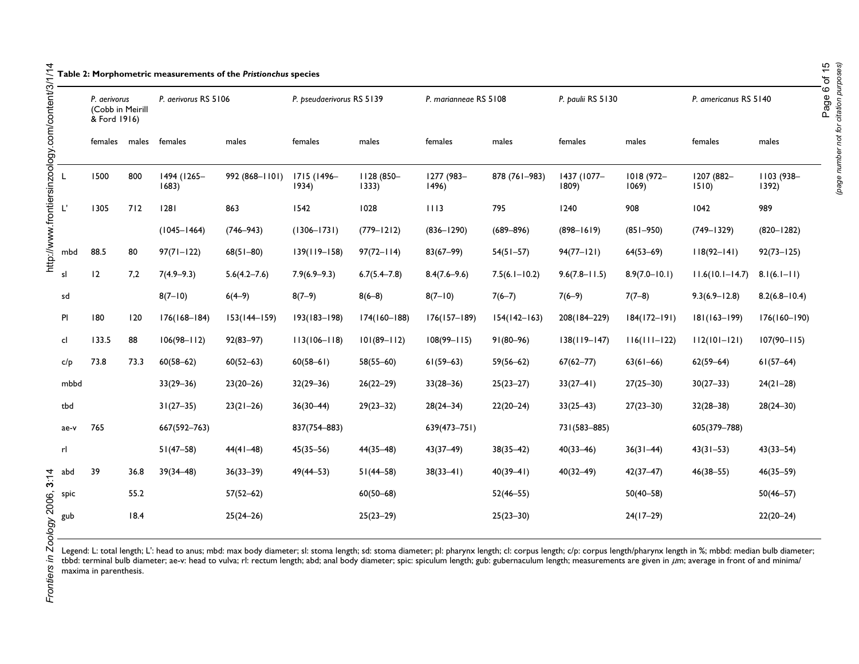| http://www.frontiersinzoology.com/content/3/1/14 | P. aerivorus<br>(Cobb in Meirill<br>& Ford 1916) |               | P. aerivorus RS 5106 |                                                                                                                                                                                                                                                                                                                                                                                                                                     | P. pseudaerivorus RS 5139 |                     | P. marianneae RS 5108 |                   | P. paulii RS 5130    |                     | P. americanus RS 5140 |                     |
|--------------------------------------------------|--------------------------------------------------|---------------|----------------------|-------------------------------------------------------------------------------------------------------------------------------------------------------------------------------------------------------------------------------------------------------------------------------------------------------------------------------------------------------------------------------------------------------------------------------------|---------------------------|---------------------|-----------------------|-------------------|----------------------|---------------------|-----------------------|---------------------|
|                                                  |                                                  | females males | females              | males                                                                                                                                                                                                                                                                                                                                                                                                                               | females                   | males               | females               | males             | females              | males               | females               | males               |
| L                                                | 1500                                             | 800           | 1494 (1265-<br>1683) | 992 (868-1101) 1715 (1496-                                                                                                                                                                                                                                                                                                                                                                                                          | 1934)                     | 1128 (850-<br>1333) | 1277 (983-<br>1496)   | 878 (761-983)     | 1437 (1077-<br>1809) | 1018 (972-<br>1069) | 1207 (882-<br>1510    | 1103 (938-<br>1392) |
| $\mathsf{L}'$                                    | 1305                                             | 712           | 1281                 | 863                                                                                                                                                                                                                                                                                                                                                                                                                                 | 1542                      | 1028                | 1113                  | 795               | 1240                 | 908                 | 1042                  | 989                 |
|                                                  |                                                  |               | $(1045 - 1464)$      | $(746 - 943)$                                                                                                                                                                                                                                                                                                                                                                                                                       | $(1306 - 1731)$           | $(779 - 1212)$      | $(836 - 1290)$        | $(689 - 896)$     | $(898 - 1619)$       | $(851 - 950)$       | $(749 - 1329)$        | $(820 - 1282)$      |
| mbd                                              | 88.5                                             | 80            | $97(71 - 122)$       | $68(51 - 80)$                                                                                                                                                                                                                                                                                                                                                                                                                       | $139(119 - 158)$          | $97(72 - 114)$      | $83(67-99)$           | $54(51 - 57)$     | $94(77-121)$         | $64(53 - 69)$       | $118(92 - 141)$       | $92(73 - 125)$      |
| sl                                               | 12                                               | 7,2           | $7(4.9-9.3)$         | $5.6(4.2 - 7.6)$                                                                                                                                                                                                                                                                                                                                                                                                                    | $7.9(6.9-9.3)$            | $6.7(5.4 - 7.8)$    | $8.4(7.6-9.6)$        | $7.5(6.1 - 10.2)$ | $9.6(7.8 - 11.5)$    | $8.9(7.0 - 10.1)$   | $11.6(10.1 - 14.7)$   | $8.1(6.1-11)$       |
| sd                                               |                                                  |               | $8(7-10)$            | $6(4-9)$                                                                                                                                                                                                                                                                                                                                                                                                                            | $8(7-9)$                  | $8(6-8)$            | $8(7-10)$             | $7(6-7)$          | $7(6-9)$             | $7(7-8)$            | $9.3(6.9 - 12.8)$     | $8.2(6.8 - 10.4)$   |
| PI                                               | 180                                              | 120           | $176(168 - 184)$     | $153(144 - 159)$                                                                                                                                                                                                                                                                                                                                                                                                                    | $193(183 - 198)$          | $174(160 - 188)$    | $176(157 - 189)$      | $154(142 - 163)$  | 208(184-229)         | $184(172 - 191)$    | $181(163 - 199)$      | $176(160 - 190)$    |
| cl                                               | 133.5                                            | 88            | $106(98 - 112)$      | $92(83 - 97)$                                                                                                                                                                                                                                                                                                                                                                                                                       | $113(106 - 118)$          | $101(89 - 112)$     | $108(99 - 115)$       | $91(80 - 96)$     | $138(119 - 147)$     | $116(111 - 122)$    | $ 12(101-121)$        | $107(90 - 115)$     |
| c/p                                              | 73.8                                             | 73.3          | $60(58 - 62)$        | $60(52 - 63)$                                                                                                                                                                                                                                                                                                                                                                                                                       | $60(58 - 61)$             | $58(55 - 60)$       | $61(59-63)$           | 59(56-62)         | $67(62 - 77)$        | $63(61-66)$         | $62(59 - 64)$         | $61(57 - 64)$       |
| mbbd                                             |                                                  |               | $33(29 - 36)$        | $23(20-26)$                                                                                                                                                                                                                                                                                                                                                                                                                         | $32(29 - 36)$             | $26(22 - 29)$       | $33(28 - 36)$         | $25(23-27)$       | $33(27 - 41)$        | $27(25 - 30)$       | $30(27 - 33)$         | $24(21-28)$         |
| tbd                                              |                                                  |               | $31(27-35)$          | $23(21-26)$                                                                                                                                                                                                                                                                                                                                                                                                                         | $36(30 - 44)$             | $29(23 - 32)$       | $28(24 - 34)$         | $22(20-24)$       | $33(25-43)$          | $27(23 - 30)$       | $32(28 - 38)$         | $28(24 - 30)$       |
| ae-v                                             | 765                                              |               | 667(592-763)         |                                                                                                                                                                                                                                                                                                                                                                                                                                     | 837(754-883)              |                     | $639(473 - 751)$      |                   | 731 (583-885)        |                     | 605(379-788)          |                     |
| rl                                               |                                                  |               | $51(47-58)$          | $44(41-48)$                                                                                                                                                                                                                                                                                                                                                                                                                         | $45(35 - 56)$             | $44(35 - 48)$       | $43(37 - 49)$         | $38(35 - 42)$     | $40(33 - 46)$        | $36(31 - 44)$       | $43(31 - 53)$         | $43(33 - 54)$       |
| abd                                              | 39                                               | 36.8          | $39(34 - 48)$        | $36(33 - 39)$                                                                                                                                                                                                                                                                                                                                                                                                                       | 49(44–53)                 | $51(44 - 58)$       | $38(33 - 41)$         | $40(39 - 41)$     | $40(32 - 49)$        | $42(37 - 47)$       | 46(38–55)             | 46(35–59)           |
| spic                                             |                                                  | 55.2          |                      | $57(52 - 62)$                                                                                                                                                                                                                                                                                                                                                                                                                       |                           | $60(50 - 68)$       |                       | $52(46 - 55)$     |                      | $50(40 - 58)$       |                       | $50(46 - 57)$       |
| gub                                              |                                                  | 18.4          |                      | $25(24-26)$                                                                                                                                                                                                                                                                                                                                                                                                                         |                           | $25(23 - 29)$       |                       | $25(23 - 30)$     |                      | $24(17-29)$         |                       | $22(20-24)$         |
| Frontiers in Zoology 2006, 3:14                  | maxima in parenthesis.                           |               |                      | Legend: L: total length; L': head to anus; mbd: max body diameter; sl: stoma length; sd: stoma diameter; pl: pharynx length; cl: corpus length; c/p: corpus length/pharynx length n %; mbbd: median bulb diameter;<br>tbbd: terminal bulb diameter; ae-v: head to vulva; rl: rectum length; abd; anal body diameter; spic: spiculum length; gub: gubernaculum length; measurements are given in Lm; average in front of and minima/ |                           |                     |                       |                   |                      |                     |                       |                     |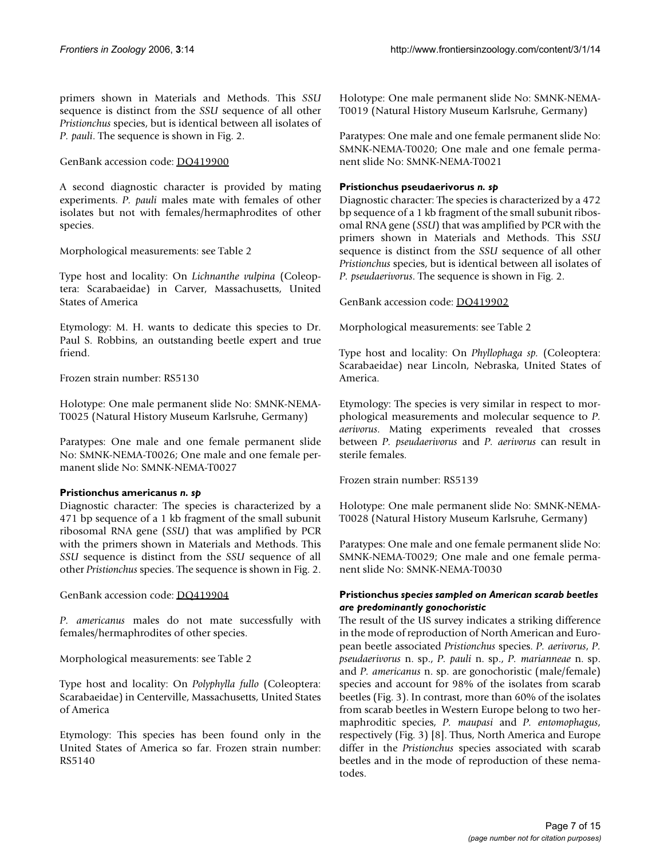primers shown in Materials and Methods. This *SSU* sequence is distinct from the *SSU* sequence of all other *Pristionchus* species, but is identical between all isolates of *P. pauli*. The sequence is shown in Fig. 2.

GenBank accession code: [DQ419900](http://www.ncbi.nih.gov/entrez/query.fcgi?db=Nucleotide&cmd=search&term=DQ419900)

A second diagnostic character is provided by mating experiments. *P. pauli* males mate with females of other isolates but not with females/hermaphrodites of other species.

Morphological measurements: see Table 2

Type host and locality: On *Lichnanthe vulpina* (Coleoptera: Scarabaeidae) in Carver, Massachusetts, United States of America

Etymology: M. H. wants to dedicate this species to Dr. Paul S. Robbins, an outstanding beetle expert and true friend.

Frozen strain number: RS5130

Holotype: One male permanent slide No: SMNK-NEMA-T0025 (Natural History Museum Karlsruhe, Germany)

Paratypes: One male and one female permanent slide No: SMNK-NEMA-T0026; One male and one female permanent slide No: SMNK-NEMA-T0027

## **Pristionchus americanus** *n. sp*

Diagnostic character: The species is characterized by a 471 bp sequence of a 1 kb fragment of the small subunit ribosomal RNA gene (*SSU*) that was amplified by PCR with the primers shown in Materials and Methods. This *SSU* sequence is distinct from the *SSU* sequence of all other *Pristionchus* species. The sequence is shown in Fig. 2.

GenBank accession code: [DQ419904](http://www.ncbi.nih.gov/entrez/query.fcgi?db=Nucleotide&cmd=search&term=DQ419904)

*P. americanus* males do not mate successfully with females/hermaphrodites of other species.

Morphological measurements: see Table 2

Type host and locality: On *Polyphylla fullo* (Coleoptera: Scarabaeidae) in Centerville, Massachusetts, United States of America

Etymology: This species has been found only in the United States of America so far. Frozen strain number: RS5140

Holotype: One male permanent slide No: SMNK-NEMA-T0019 (Natural History Museum Karlsruhe, Germany)

Paratypes: One male and one female permanent slide No: SMNK-NEMA-T0020; One male and one female permanent slide No: SMNK-NEMA-T0021

## **Pristionchus pseudaerivorus** *n. sp*

Diagnostic character: The species is characterized by a 472 bp sequence of a 1 kb fragment of the small subunit ribosomal RNA gene (*SSU*) that was amplified by PCR with the primers shown in Materials and Methods. This *SSU* sequence is distinct from the *SSU* sequence of all other *Pristionchus* species, but is identical between all isolates of *P. pseudaerivorus*. The sequence is shown in Fig. 2.

GenBank accession code: [DQ419902](http://www.ncbi.nih.gov/entrez/query.fcgi?db=Nucleotide&cmd=search&term=DQ419902)

Morphological measurements: see Table 2

Type host and locality: On *Phyllophaga sp.* (Coleoptera: Scarabaeidae) near Lincoln, Nebraska, United States of America.

Etymology: The species is very similar in respect to morphological measurements and molecular sequence to *P. aerivorus*. Mating experiments revealed that crosses between *P. pseudaerivorus* and *P. aerivorus* can result in sterile females.

Frozen strain number: RS5139

Holotype: One male permanent slide No: SMNK-NEMA-T0028 (Natural History Museum Karlsruhe, Germany)

Paratypes: One male and one female permanent slide No: SMNK-NEMA-T0029; One male and one female permanent slide No: SMNK-NEMA-T0030

## **Pristionchus** *species sampled on American scarab beetles are predominantly gonochoristic*

The result of the US survey indicates a striking difference in the mode of reproduction of North American and European beetle associated *Pristionchus* species. *P. aerivorus*, *P. pseudaerivorus* n. sp., *P. pauli* n. sp., *P. marianneae* n. sp. and *P. americanus* n. sp. are gonochoristic (male/female) species and account for 98% of the isolates from scarab beetles (Fig. 3). In contrast, more than 60% of the isolates from scarab beetles in Western Europe belong to two hermaphroditic species, *P. maupasi* and *P. entomophagus*, respectively (Fig. 3) [8]. Thus, North America and Europe differ in the *Pristionchus* species associated with scarab beetles and in the mode of reproduction of these nematodes.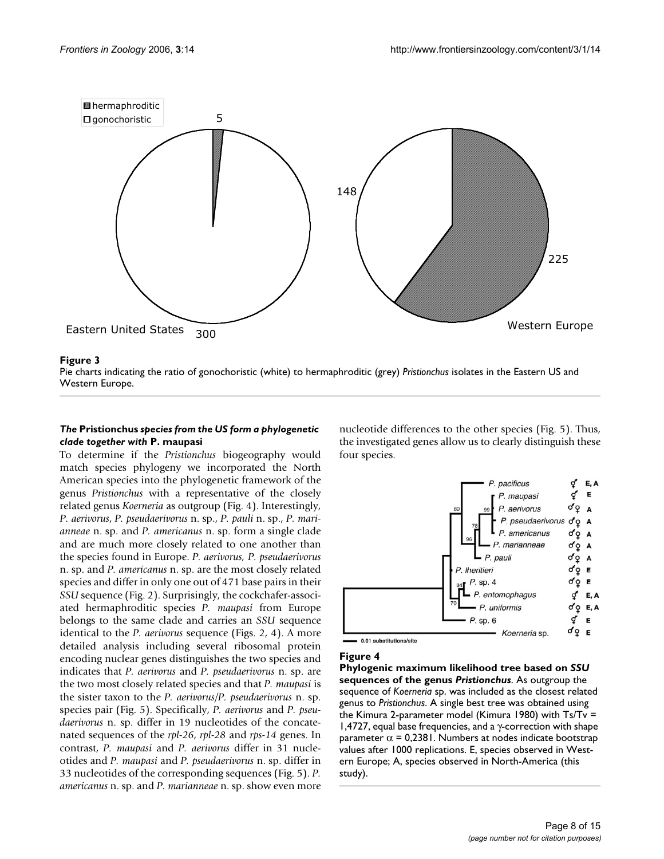

## Pie charts indicating the ratio of gonoch Western Europe **Figure 3** oristic (white) to hermaphroditic (grey) *Pristionchus* isolates in the Eastern US and

Pie charts indicating the ratio of gonochoristic (white) to hermaphroditic (grey) *Pristionchus* isolates in the Eastern US and Western Europe.

## *The* **Pristionchus** *species from the US form a phylogenetic clade together with* **P. maupasi**

To determine if the *Pristionchus* biogeography would match species phylogeny we incorporated the North American species into the phylogenetic framework of the genus *Pristionchus* with a representative of the closely related genus *Koerneria* as outgroup (Fig. 4). Interestingly, *P. aerivorus*, *P. pseudaerivorus* n. sp., *P. pauli* n. sp., *P. marianneae* n. sp. and *P. americanus* n. sp. form a single clade and are much more closely related to one another than the species found in Europe. *P. aerivorus, P. pseudaerivorus* n. sp. and *P. americanus* n. sp. are the most closely related species and differ in only one out of 471 base pairs in their *SSU* sequence (Fig. 2). Surprisingly, the cockchafer-associated hermaphroditic species *P. maupasi* from Europe belongs to the same clade and carries an *SSU* sequence identical to the *P. aerivorus* sequence (Figs. 2, 4). A more detailed analysis including several ribosomal protein encoding nuclear genes distinguishes the two species and indicates that *P. aerivorus* and *P. pseudaerivorus* n. sp. are the two most closely related species and that *P. maupasi* is the sister taxon to the *P. aerivorus/P. pseudaerivorus* n. sp. species pair (Fig. 5). Specifically, *P. aerivorus* and *P. pseudaerivorus* n. sp. differ in 19 nucleotides of the concatenated sequences of the *rpl-26*, *rpl-28* and *rps-14* genes. In contrast, *P. maupasi* and *P. aerivorus* differ in 31 nucleotides and *P. maupasi* and *P. pseudaerivorus* n. sp. differ in 33 nucleotides of the corresponding sequences (Fig. 5). *P. americanus* n. sp. and *P. marianneae* n. sp. show even more nucleotide differences to the other species (Fig. 5). Thus, the investigated genes allow us to clearly distinguish these four species.



#### **Figure 4**

**Phylogenic maximum likelihood tree based on** *SSU*  **sequences of the genus** *Pristionchus*. As outgroup the sequence of *Koerneria* sp. was included as the closest related genus to *Pristionchus*. A single best tree was obtained using the Kimura 2-parameter model (Kimura 1980) with Ts/Tv = 1,4727, equal base frequencies, and a γ-correction with shape parameter  $\alpha$  = 0,2381. Numbers at nodes indicate bootstrap values after 1000 replications. E, species observed in Western Europe; A, species observed in North-America (this study).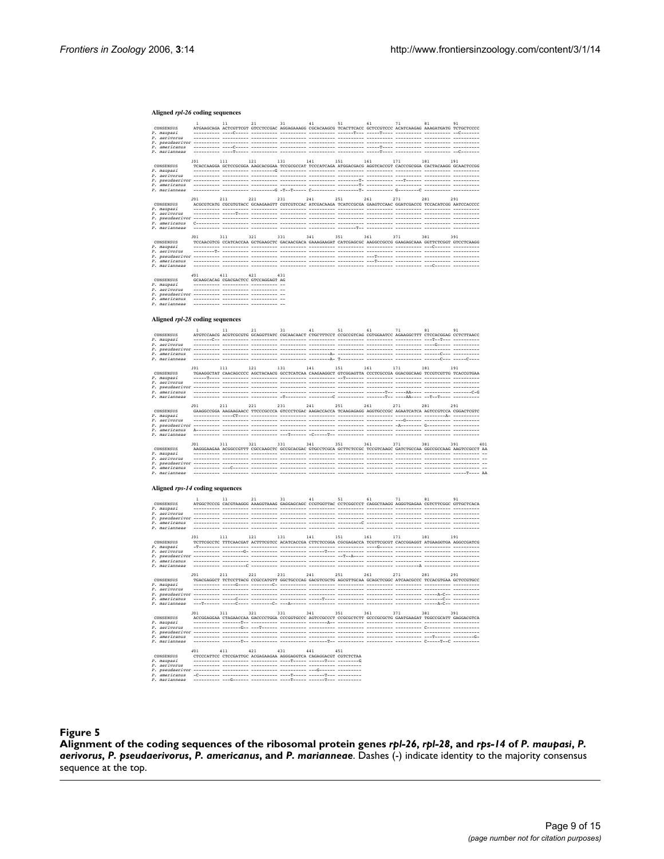#### **Aligned** *rpl-26* **coding sequences**

|          | <b>CONSENSUS</b>                                          |                                         |                                                                                                         | $\overline{21}$            | 31                        | 41<br>ATGAAGCAGA ACTCGTTCGT GTCCTCCGAC AGGAGAAAGG CGCACAAGCG TCACTTCACC GCTCCGTCCC ACATCAAGAG AAAGATGATG TCTGCTCCCC   | 51                       | 61                           |             |                                |                                                                                                                  |
|----------|-----------------------------------------------------------|-----------------------------------------|---------------------------------------------------------------------------------------------------------|----------------------------|---------------------------|-----------------------------------------------------------------------------------------------------------------------|--------------------------|------------------------------|-------------|--------------------------------|------------------------------------------------------------------------------------------------------------------|
|          | P. maupasi<br>P. aerivorus                                |                                         | $---c---$                                                                                               |                            |                           |                                                                                                                       | ------T---               | $---T---$                    |             |                                | $- - - - -$<br>$-$                                                                                               |
| Р.<br>P. | pseudaerivor<br>americanus                                |                                         |                                                                                                         |                            |                           |                                                                                                                       |                          |                              |             |                                |                                                                                                                  |
| P.       | marianneae                                                |                                         | $\cdots \cdots \mathbf{T} \cdots \cdots \cdots$                                                         |                            |                           |                                                                                                                       |                          | $T-1$                        |             |                                |                                                                                                                  |
|          | <b>CONSENSUS</b>                                          |                                         | 111                                                                                                     | 121                        | 131                       | 141<br>TCACCAAGGA GCTCCGCGGA AAGCACGGAA TCCGCGCCAT TCCCATCAGA ATGGACGACG AGGTCACCGT CACCCGCGGA CACTACAAGG GCAACTCCGG  | 151                      | 161                          | 171         | 181                            |                                                                                                                  |
| Þ.       | P. maupasi<br>aerivorus                                   |                                         | ---------- ---------- ---------                                                                         | ---------G                 | -----------<br>---------- |                                                                                                                       | ----------<br>---------- | -----------<br>-----------   |             |                                |                                                                                                                  |
| P.       | pseudaerivor<br>americanus                                |                                         |                                                                                                         |                            |                           |                                                                                                                       | $-2$                     |                              |             |                                |                                                                                                                  |
| P.<br>P. | marianneae                                                |                                         |                                                                                                         |                            |                           |                                                                                                                       | T-                       |                              |             |                                |                                                                                                                  |
|          |                                                           | 201                                     | 211                                                                                                     | 221                        | 231                       | 241                                                                                                                   | 251                      | 261                          | 271         | 281                            | 291                                                                                                              |
|          | CONSENSUS<br>P. maupasi                                   | ----------- ------                      |                                                                                                         |                            | -----------               | ACGCGTCATG CGCGTGTACC GCAAGAAGTT CGTCGTCCAC ATCGACAAGA TCATCCGCGA GAAGTCCAAC GGATCGACCG TCCACATCGG AATCCACCCC         | -----------              | -----------                  | ----------  |                                | $- - - - -$                                                                                                      |
| P.<br>P. | aerivorus<br>pseudaerivor                                 |                                         | <b>STARTING</b>                                                                                         |                            |                           |                                                                                                                       |                          |                              |             |                                |                                                                                                                  |
| р.<br>Р. | americanus<br>marianneae                                  | $C = - - - - - - - -$                   |                                                                                                         |                            |                           |                                                                                                                       | -ጥ-                      |                              |             |                                |                                                                                                                  |
|          |                                                           | 301                                     | 311                                                                                                     | 321                        | 331                       | 341                                                                                                                   | 351                      | 361                          | 371         | 381                            | 391                                                                                                              |
|          | CONSENSUS<br>P. maunasi                                   |                                         | TCCAACGTCG CCATCACCAA GCTGAAGCTC                                                                        |                            |                           | GACAACGACA GAAAGAAGAT CATCGAGCGC AAGGCCGCCG GAAGAGCAAA GGTTCTCGGT GTCCTCAAGG                                          |                          |                              |             |                                |                                                                                                                  |
| P.       | aerivorus                                                 | --------- <del>T</del> - ----<br>------ |                                                                                                         |                            |                           |                                                                                                                       |                          |                              |             |                                |                                                                                                                  |
| P.       | <i>pseudaerivor</i><br>americanus                         | ----------                              |                                                                                                         |                            |                           |                                                                                                                       |                          |                              |             |                                |                                                                                                                  |
|          | marianneae                                                |                                         |                                                                                                         |                            |                           |                                                                                                                       |                          |                              |             |                                |                                                                                                                  |
|          | CONSENSUS                                                 | 401<br>GCAAGCACAG                       | 411<br>CGACGACTCC GTCCAGGAGT                                                                            | 421                        | 431<br>AG                 |                                                                                                                       |                          |                              |             |                                |                                                                                                                  |
| P.       | P. maupasi<br>aerivorus                                   |                                         | ---------- ---------- ---------- --                                                                     |                            |                           |                                                                                                                       |                          |                              |             |                                |                                                                                                                  |
| Þ.<br>Р. | pseudaerivor<br>americanus                                |                                         | ---------- ---------- ---------- --<br>----------                                                       | ----------                 |                           |                                                                                                                       |                          |                              |             |                                |                                                                                                                  |
| P.       | marianneae                                                |                                         |                                                                                                         |                            |                           |                                                                                                                       |                          |                              |             |                                |                                                                                                                  |
|          |                                                           |                                         |                                                                                                         |                            |                           |                                                                                                                       |                          |                              |             |                                |                                                                                                                  |
|          | Aligned rpl-28 coding sequences                           |                                         |                                                                                                         |                            |                           |                                                                                                                       |                          |                              |             |                                |                                                                                                                  |
|          | CONSENSUS                                                 |                                         |                                                                                                         | 21                         | 31                        | 41<br>ATGTCCAACG ACGTCGCGTG GCAGGTTATC CGCAACAACT CTGCTTTCCT CCGCCGTCAG CGTGGAATCC AGAAGGCTTT CTCCACGGAG CCTCTTAACC   | 51                       | 61                           | 71          | 81                             |                                                                                                                  |
| P.       | P. maupasi<br>aerivorus                                   |                                         |                                                                                                         |                            |                           |                                                                                                                       |                          |                              |             | $---T---T---$<br>-G            |                                                                                                                  |
| р.<br>Р. | pseudaerivol<br>americanus                                |                                         | ---------- --------- --------                                                                           |                            |                           |                                                                                                                       |                          |                              |             | $---C---$                      |                                                                                                                  |
| Þ.       | marianneae                                                |                                         |                                                                                                         |                            |                           |                                                                                                                       |                          |                              |             |                                | .<br>Carl annual                                                                                                 |
|          | CONSENSUS                                                 | 101                                     | 111                                                                                                     | 121                        | 131                       | 1.41<br>TGAAGGCTAT CAACAGCCCC AGCTACAACG GCCTCATCAA CAAGAAGGCT GTCGGAGTTA CCCTCGCCGA GGACGGCAAG TCCGTCGTTG TCACCGTGAA | 151                      | 161                          | 171         | 181                            | 191                                                                                                              |
|          | maupasi<br><i>P. maupasi</i><br>P. aerivorus              |                                         |                                                                                                         |                            |                           |                                                                                                                       |                          |                              |             |                                |                                                                                                                  |
| P.       | pseudaerivol                                              |                                         |                                                                                                         |                            |                           |                                                                                                                       |                          |                              |             |                                |                                                                                                                  |
| Þ.       | americanus<br>marianneae                                  | andromana and                           |                                                                                                         |                            |                           |                                                                                                                       |                          |                              |             | $- - 7 - - 7 - - - -$          | $---C-G$                                                                                                         |
| P.       |                                                           |                                         |                                                                                                         |                            |                           |                                                                                                                       |                          |                              | $A - - - -$ |                                |                                                                                                                  |
|          |                                                           | 201                                     | 211                                                                                                     | 221                        | 231                       | 241                                                                                                                   | 251                      | 261                          | 271         | 281                            | 291                                                                                                              |
|          | CONSENSUS                                                 |                                         |                                                                                                         |                            |                           | GAAGGCCGGA AAGAAGAACC TTCCCGCCCA GTCCCTCGAC AAGACCACCA TCAAGAGAGG AGGTGCCCGC AGAATCATCA AGTCCGTCCA CGGACTCGTC         |                          |                              |             |                                |                                                                                                                  |
| Þ.       | P. maupasi<br>aerivorus                                   |                                         | $\scriptstyle \qquad \qquad \cdots \cdots \text{CT} \cdots \cdots \cdots$<br>---------- ---------- ---- |                            |                           |                                                                                                                       | $-$                      |                              | -----       | $---A-$<br>$- - -$             |                                                                                                                  |
| P.       | pseudaerivol<br>americanus                                |                                         |                                                                                                         |                            |                           |                                                                                                                       |                          |                              | -A          | G<br>----------                | -----------                                                                                                      |
| P.       | marianneae                                                |                                         |                                                                                                         |                            | $---T------$              | $-c-$<br>$---T--$                                                                                                     |                          |                              |             |                                |                                                                                                                  |
|          | CONSENSUS                                                 |                                         |                                                                                                         |                            | 331                       |                                                                                                                       | 351                      |                              | 371         |                                | AAGGGAAGAA ACGGCCGTTT CGCCAAGCTC GCCGCACGAC GTGCCTCGCA GCTTCTCCGC TCCGTCAAGC GATCTGCCAA GGCCGCCAAG AAGTCCGCCT AA |
|          | P. maupasi<br>P. aerivorus                                |                                         |                                                                                                         | $    -$                    |                           |                                                                                                                       |                          |                              |             | -----------                    | $\sim$                                                                                                           |
| Þ.       | P. pseudaerivor<br>americanus                             |                                         | ---------- ---------- ----------                                                                        |                            | ----------                |                                                                                                                       |                          | ----------                   | ----------- | ----------- ----------         | $\sim$                                                                                                           |
| P.       | marianneae                                                |                                         |                                                                                                         |                            |                           |                                                                                                                       |                          |                              |             |                                | $-$ AA                                                                                                           |
|          |                                                           |                                         |                                                                                                         |                            |                           |                                                                                                                       |                          |                              |             |                                |                                                                                                                  |
|          | Aligned rps-14 coding sequences                           |                                         |                                                                                                         |                            |                           |                                                                                                                       |                          |                              |             |                                |                                                                                                                  |
|          | CONSENSUS                                                 |                                         |                                                                                                         | 21                         | 31                        | 41<br>ATGGCTCCCG CACGTAAGGG AAAGGTAAAG GAGGAGCAGC CCGTGGTTAC CCTCGGCCCT CAGGCTAAGG AGGGTGAGAA CGTCTTCGGC GTTGCTCACA   | 51                       | 61                           |             | 81                             |                                                                                                                  |
| Þ.       | P. maupasi<br>aerivorus                                   |                                         |                                                                                                         |                            |                           |                                                                                                                       |                          |                              |             |                                |                                                                                                                  |
|          | P. pseudaerivor                                           | ----------                              |                                                                                                         |                            |                           |                                                                                                                       | $---c$                   | $\frac{1}{2}$                |             |                                |                                                                                                                  |
|          | <i>r.</i><br><i>P. americanus</i><br><i>P. marianneae</i> |                                         |                                                                                                         |                            |                           |                                                                                                                       |                          |                              |             |                                |                                                                                                                  |
|          | <b>CONSENSUS</b>                                          | 101                                     | 111                                                                                                     | 121                        | 131                       | 141<br>TCTTCGCCTC TTTCAACGAT ACTTTCGTCC ACATCACCGA CTTCTCCGGA CGCGAGACCA TCGTTCGCGT CACCGGAGGT ATGAAGGTGA AGGCCGATCG  | 151                      | 161                          | 171         | 181                            | 191                                                                                                              |
| P.       | P. maupasi<br>aerivorus                                   |                                         | $------G-$                                                                                              |                            |                           | ---------- ---------                                                                                                  | -----------              | $---G---$                    |             |                                |                                                                                                                  |
| P.       | pseudaerivor                                              |                                         |                                                                                                         |                            |                           |                                                                                                                       |                          |                              |             |                                |                                                                                                                  |
|          | americanus<br>P. marianneae                               |                                         |                                                                                                         |                            |                           |                                                                                                                       |                          | www.comerce.com/comerce.html |             |                                |                                                                                                                  |
|          |                                                           | 201                                     | 211                                                                                                     | 221                        | 231                       | 241                                                                                                                   | 251                      | 261                          | 271         | 281                            | 291                                                                                                              |
|          | CONSENSUS<br>P. maupasi                                   |                                         | ----- -----G----                                                                                        | ---------C- ---------- --- |                           | TGACGAGGCT TCTCCTTACG CCGCCATGTT GGCTGCCCAG GACGTCGCTG AGCGTTGCAA GCAGCTCGGC ATCAACGCCC TCCACGTGAA GCTCCGTGCC         |                          |                              |             |                                |                                                                                                                  |
|          | aerivorus<br>pseudaerivor                                 |                                         |                                                                                                         | ----                       |                           |                                                                                                                       |                          |                              |             | $---A-C--$                     |                                                                                                                  |
| P.       | americanus<br>P. marianneae                               |                                         |                                                                                                         |                            |                           | a aaaaaqaaaa                                                                                                          |                          |                              |             |                                |                                                                                                                  |
|          |                                                           | 301                                     | 311                                                                                                     | 321                        | 331                       | 341                                                                                                                   | 351                      | 361                          | 371         | 381                            | 391                                                                                                              |
|          | CONSENSUS                                                 |                                         | $---------$                                                                                             |                            |                           | ACCGGAGGAA CTAGAACCAA GACCCCTGGA CCCGGTGCCC AGTCCGCCCT CCGCGCTCTT GCCCGCGCTG GAATGAAGAT TGGCCGCATT GAGGACGTCA         |                          |                              |             |                                |                                                                                                                  |
|          | P. maupasi<br>P. aerivorus                                |                                         | ----------- ---------- ----                                                                             |                            |                           | $-----A--$                                                                                                            |                          |                              |             |                                |                                                                                                                  |
| P.<br>P. | pseudaerivor<br>americanus                                |                                         |                                                                                                         |                            |                           |                                                                                                                       |                          |                              |             | T.                             | $-G-$                                                                                                            |
| Þ.       | marianneae                                                |                                         |                                                                                                         |                            |                           |                                                                                                                       |                          | -----------                  |             | ---------- C-----T--C -------- |                                                                                                                  |
|          | CONSENSUS                                                 | 401                                     | 411                                                                                                     | 421                        | 431                       | 441<br>CTCCCATTCC CTCCGATTGC ACGAGAAGAA AGGGAGGTCA CAGAGGACGT CGTCTCTAA                                               | 451                      |                              |             |                                |                                                                                                                  |
| р.<br>Р. | P. maupasi<br>P. aerivorus                                |                                         |                                                                                                         |                            | --- ---                   | www.paranet www.apara www.a                                                                                           | $-G$                     |                              |             |                                |                                                                                                                  |
| P.<br>P. | pseudaerivor<br>americanus                                | $-c$ --------                           |                                                                                                         | ----------                 | $---$                     | ----- ---G---<br>$---$                                                                                                | $- - - - - -$            |                              |             |                                |                                                                                                                  |

**Figure 5** *daerivorus* Alignment of the coding sequences of the ribosomal protein genes , *P. americanus*, and *P. marianneae rpl-26*, *rpl-28*, and *rps-14* of *P. maupasi*, *P. aerivorus*, *P. pseu-***Alignment of the coding sequences of the ribosomal protein genes** *rpl-26***,** *rpl-28***, and** *rps-14* **of** *P. maupasi***,** *P. aerivorus***,** *P. pseudaerivorus***,** *P. americanus***, and** *P. marianneae*. Dashes (-) indicate identity to the majority consensus sequence at the top.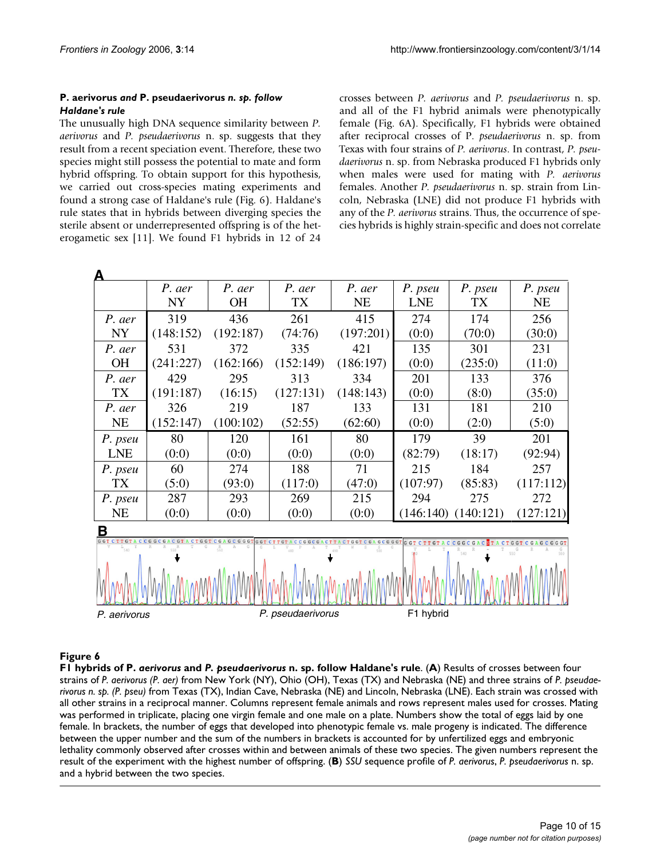**A**

#### **P. aerivorus** *and* **P. pseudaerivorus** *n. sp. follow Haldane's rule*

The unusually high DNA sequence similarity between *P. aerivorus* and *P. pseudaerivorus* n. sp. suggests that they result from a recent speciation event. Therefore, these two species might still possess the potential to mate and form hybrid offspring. To obtain support for this hypothesis, we carried out cross-species mating experiments and found a strong case of Haldane's rule (Fig. 6). Haldane's rule states that in hybrids between diverging species the sterile absent or underrepresented offspring is of the heterogametic sex [11]. We found F1 hybrids in 12 of 24

crosses between *P. aerivorus* and *P. pseudaerivorus* n. sp. and all of the F1 hybrid animals were phenotypically female (Fig. 6A). Specifically, F1 hybrids were obtained after reciprocal crosses of P. *pseudaerivorus* n. sp. from Texas with four strains of *P. aerivorus*. In contrast, *P. pseudaerivorus* n. sp. from Nebraska produced F1 hybrids only when males were used for mating with *P. aerivorus* females. Another *P. pseudaerivorus* n. sp. strain from Lincoln, Nebraska (LNE) did not produce F1 hybrids with any of the *P. aerivorus* strains. Thus, the occurrence of species hybrids is highly strain-specific and does not correlate

| A            |           |           |                   |           |            |           |                 |  |  |  |  |
|--------------|-----------|-----------|-------------------|-----------|------------|-----------|-----------------|--|--|--|--|
|              | P. aer    | P. aer    | P. aer            | P. aer    | P. pseu    | P. pseu   | P. pseu         |  |  |  |  |
|              | <b>NY</b> | <b>OH</b> | TX                | <b>NE</b> | <b>LNE</b> | TX        | <b>NE</b>       |  |  |  |  |
| P. aer       | 319       | 436       | 261               | 415       | 274        | 174       | 256             |  |  |  |  |
| <b>NY</b>    | (148:152) | (192:187) | (74:76)           | (197:201) | (0:0)      | (70:0)    | (30:0)          |  |  |  |  |
| P. aer       | 531       | 372       | 335               | 421       | 135        | 301       | 231             |  |  |  |  |
| <b>OH</b>    | (241:227) | (162:166) | (152:149)         | (186:197) | (0:0)      | (235:0)   | (11:0)          |  |  |  |  |
| P. aer       | 429       | 295       | 313               | 334       | 201        | 133       | 376             |  |  |  |  |
| <b>TX</b>    | (191:187) | (16:15)   | (127:131)         | (148:143) | (0:0)      | (8:0)     | (35:0)          |  |  |  |  |
| P. aer       | 326       | 219       | 187               | 133       | 131        | 181       | 210             |  |  |  |  |
| <b>NE</b>    | (152:147) | (100:102) | (52:55)           | (62:60)   | (0:0)      | (2:0)     | (5:0)           |  |  |  |  |
| P. pseu      | 80        | 120       | 161               | 80        | 179        | 39        | 201             |  |  |  |  |
| <b>LNE</b>   | (0:0)     | (0:0)     | (0:0)             | (0:0)     | (82:79)    | (18:17)   | (92:94)         |  |  |  |  |
| P. pseu      | 60        | 274       | 188               | 71        | 215        | 184       | 257             |  |  |  |  |
| <b>TX</b>    | (5:0)     | (93:0)    | (117:0)           | (47:0)    | (107:97)   | (85:83)   | (117:112)       |  |  |  |  |
| P. pseu      | 287       | 293       | 269               | 215       | 294        | 275       | 272             |  |  |  |  |
| <b>NE</b>    | (0:0)     | (0:0)     | (0:0)             | (0:0)     | (146:140)  | (140:121) | (127:121)       |  |  |  |  |
| в            |           |           |                   |           |            |           |                 |  |  |  |  |
| $L_{540}$    |           |           |                   |           |            |           | CTGGT CGAGCGGGT |  |  |  |  |
|              |           |           |                   |           |            |           |                 |  |  |  |  |
| P. aerivorus |           |           | P. pseudaerivorus |           | F1 hybrid  |           |                 |  |  |  |  |

## Figure 6

**F1 hybrids of P.** *aerivorus* **and** *P. pseudaerivorus* **n. sp. follow Haldane's rule**. (**A**) Results of crosses between four strains of *P. aerivorus (P. aer)* from New York (NY), Ohio (OH), Texas (TX) and Nebraska (NE) and three strains of *P. pseudaerivorus n. sp. (P. pseu)* from Texas (TX), Indian Cave, Nebraska (NE) and Lincoln, Nebraska (LNE). Each strain was crossed with all other strains in a reciprocal manner. Columns represent female animals and rows represent males used for crosses. Mating was performed in triplicate, placing one virgin female and one male on a plate. Numbers show the total of eggs laid by one female. In brackets, the number of eggs that developed into phenotypic female vs. male progeny is indicated. The difference between the upper number and the sum of the numbers in brackets is accounted for by unfertilized eggs and embryonic lethality commonly observed after crosses within and between animals of these two species. The given numbers represent the result of the experiment with the highest number of offspring. (**B**) *SSU* sequence profile of *P. aerivorus*, *P. pseudaerivorus* n. sp. and a hybrid between the two species.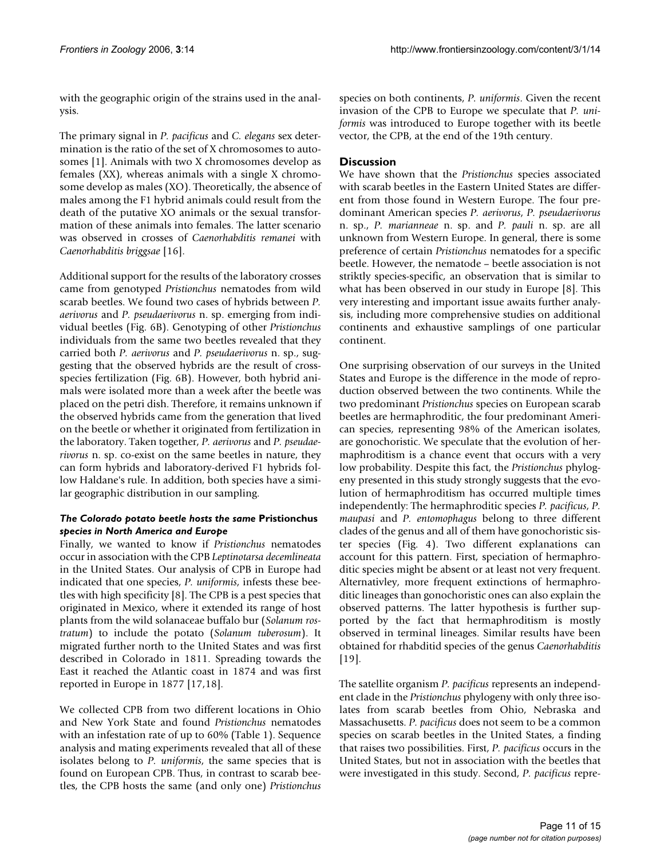with the geographic origin of the strains used in the analysis.

The primary signal in *P. pacificus* and *C. elegans* sex determination is the ratio of the set of X chromosomes to autosomes [1]. Animals with two X chromosomes develop as females (XX), whereas animals with a single X chromosome develop as males (XO). Theoretically, the absence of males among the F1 hybrid animals could result from the death of the putative XO animals or the sexual transformation of these animals into females. The latter scenario was observed in crosses of *Caenorhabditis remanei* with *Caenorhabditis briggsae* [16].

Additional support for the results of the laboratory crosses came from genotyped *Pristionchus* nematodes from wild scarab beetles. We found two cases of hybrids between *P. aerivorus* and *P. pseudaerivorus* n. sp. emerging from individual beetles (Fig. 6B). Genotyping of other *Pristionchus* individuals from the same two beetles revealed that they carried both *P. aerivorus* and *P. pseudaerivorus* n. sp., suggesting that the observed hybrids are the result of crossspecies fertilization (Fig. 6B). However, both hybrid animals were isolated more than a week after the beetle was placed on the petri dish. Therefore, it remains unknown if the observed hybrids came from the generation that lived on the beetle or whether it originated from fertilization in the laboratory. Taken together, *P. aerivorus* and *P. pseudaerivorus* n. sp. co-exist on the same beetles in nature, they can form hybrids and laboratory-derived F1 hybrids follow Haldane's rule. In addition, both species have a similar geographic distribution in our sampling.

## *The Colorado potato beetle hosts the same* **Pristionchus**  *species in North America and Europe*

Finally, we wanted to know if *Pristionchus* nematodes occur in association with the CPB *Leptinotarsa decemlineata* in the United States. Our analysis of CPB in Europe had indicated that one species, *P. uniformis*, infests these beetles with high specificity [8]. The CPB is a pest species that originated in Mexico, where it extended its range of host plants from the wild solanaceae buffalo bur (*Solanum rostratum*) to include the potato (*Solanum tuberosum*). It migrated further north to the United States and was first described in Colorado in 1811. Spreading towards the East it reached the Atlantic coast in 1874 and was first reported in Europe in 1877 [17,18].

We collected CPB from two different locations in Ohio and New York State and found *Pristionchus* nematodes with an infestation rate of up to 60% (Table 1). Sequence analysis and mating experiments revealed that all of these isolates belong to *P. uniformis*, the same species that is found on European CPB. Thus, in contrast to scarab beetles, the CPB hosts the same (and only one) *Pristionchus* species on both continents, *P. uniformis*. Given the recent invasion of the CPB to Europe we speculate that *P. uniformis* was introduced to Europe together with its beetle vector, the CPB, at the end of the 19th century.

## **Discussion**

We have shown that the *Pristionchus* species associated with scarab beetles in the Eastern United States are different from those found in Western Europe. The four predominant American species *P. aerivorus*, *P. pseudaerivorus* n. sp., *P. marianneae* n. sp. and *P. pauli* n. sp. are all unknown from Western Europe. In general, there is some preference of certain *Pristionchus* nematodes for a specific beetle. However, the nematode – beetle association is not striktly species-specific, an observation that is similar to what has been observed in our study in Europe [8]. This very interesting and important issue awaits further analysis, including more comprehensive studies on additional continents and exhaustive samplings of one particular continent.

One surprising observation of our surveys in the United States and Europe is the difference in the mode of reproduction observed between the two continents. While the two predominant *Pristionchus* species on European scarab beetles are hermaphroditic, the four predominant American species, representing 98% of the American isolates, are gonochoristic. We speculate that the evolution of hermaphroditism is a chance event that occurs with a very low probability. Despite this fact, the *Pristionchus* phylogeny presented in this study strongly suggests that the evolution of hermaphroditism has occurred multiple times independently: The hermaphroditic species *P. pacificus*, *P. maupasi* and *P. entomophagus* belong to three different clades of the genus and all of them have gonochoristic sister species (Fig. 4). Two different explanations can account for this pattern. First, speciation of hermaphroditic species might be absent or at least not very frequent. Alternativley, more frequent extinctions of hermaphroditic lineages than gonochoristic ones can also explain the observed patterns. The latter hypothesis is further supported by the fact that hermaphroditism is mostly observed in terminal lineages. Similar results have been obtained for rhabditid species of the genus *Caenorhabditis* [19].

The satellite organism *P. pacificus* represents an independent clade in the *Pristionchus* phylogeny with only three isolates from scarab beetles from Ohio, Nebraska and Massachusetts. *P. pacificus* does not seem to be a common species on scarab beetles in the United States, a finding that raises two possibilities. First, *P. pacificus* occurs in the United States, but not in association with the beetles that were investigated in this study. Second, *P. pacificus* repre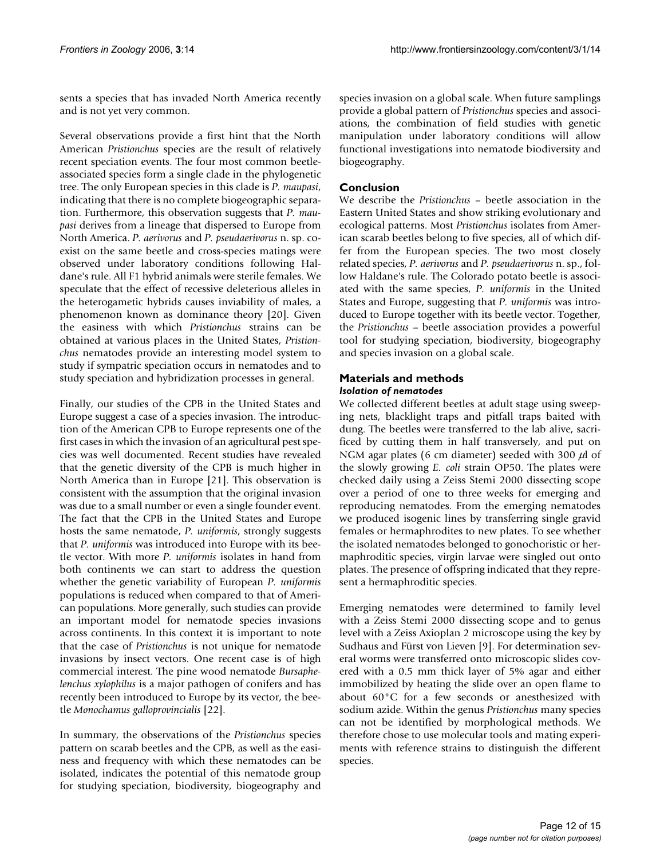sents a species that has invaded North America recently and is not yet very common.

Several observations provide a first hint that the North American *Pristionchus* species are the result of relatively recent speciation events. The four most common beetleassociated species form a single clade in the phylogenetic tree. The only European species in this clade is *P. maupasi*, indicating that there is no complete biogeographic separation. Furthermore, this observation suggests that *P. maupasi* derives from a lineage that dispersed to Europe from North America. *P. aerivorus* and *P. pseudaerivorus* n. sp. coexist on the same beetle and cross-species matings were observed under laboratory conditions following Haldane's rule. All F1 hybrid animals were sterile females. We speculate that the effect of recessive deleterious alleles in the heterogametic hybrids causes inviability of males, a phenomenon known as dominance theory [20]. Given the easiness with which *Pristionchus* strains can be obtained at various places in the United States, *Pristionchus* nematodes provide an interesting model system to study if sympatric speciation occurs in nematodes and to study speciation and hybridization processes in general.

Finally, our studies of the CPB in the United States and Europe suggest a case of a species invasion. The introduction of the American CPB to Europe represents one of the first cases in which the invasion of an agricultural pest species was well documented. Recent studies have revealed that the genetic diversity of the CPB is much higher in North America than in Europe [21]. This observation is consistent with the assumption that the original invasion was due to a small number or even a single founder event. The fact that the CPB in the United States and Europe hosts the same nematode, *P. uniformis*, strongly suggests that *P. uniformis* was introduced into Europe with its beetle vector. With more *P. uniformis* isolates in hand from both continents we can start to address the question whether the genetic variability of European *P. uniformis* populations is reduced when compared to that of American populations. More generally, such studies can provide an important model for nematode species invasions across continents. In this context it is important to note that the case of *Pristionchus* is not unique for nematode invasions by insect vectors. One recent case is of high commercial interest. The pine wood nematode *Bursaphelenchus xylophilus* is a major pathogen of conifers and has recently been introduced to Europe by its vector, the beetle *Monochamus galloprovincialis* [22].

In summary, the observations of the *Pristionchus* species pattern on scarab beetles and the CPB, as well as the easiness and frequency with which these nematodes can be isolated, indicates the potential of this nematode group for studying speciation, biodiversity, biogeography and species invasion on a global scale. When future samplings provide a global pattern of *Pristionchus* species and associations, the combination of field studies with genetic manipulation under laboratory conditions will allow functional investigations into nematode biodiversity and biogeography.

## **Conclusion**

We describe the *Pristionchus* – beetle association in the Eastern United States and show striking evolutionary and ecological patterns. Most *Pristionchus* isolates from American scarab beetles belong to five species, all of which differ from the European species. The two most closely related species, *P. aerivorus* and *P. pseudaerivorus* n. sp., follow Haldane's rule. The Colorado potato beetle is associated with the same species, *P. uniformis* in the United States and Europe, suggesting that *P. uniformis* was introduced to Europe together with its beetle vector. Together, the *Pristionchus* – beetle association provides a powerful tool for studying speciation, biodiversity, biogeography and species invasion on a global scale.

## **Materials and methods** *Isolation of nematodes*

We collected different beetles at adult stage using sweeping nets, blacklight traps and pitfall traps baited with dung. The beetles were transferred to the lab alive, sacrificed by cutting them in half transversely, and put on NGM agar plates (6 cm diameter) seeded with 300  $\mu$ l of the slowly growing *E. coli* strain OP50. The plates were checked daily using a Zeiss Stemi 2000 dissecting scope over a period of one to three weeks for emerging and reproducing nematodes. From the emerging nematodes we produced isogenic lines by transferring single gravid females or hermaphrodites to new plates. To see whether the isolated nematodes belonged to gonochoristic or hermaphroditic species, virgin larvae were singled out onto plates. The presence of offspring indicated that they represent a hermaphroditic species.

Emerging nematodes were determined to family level with a Zeiss Stemi 2000 dissecting scope and to genus level with a Zeiss Axioplan 2 microscope using the key by Sudhaus and Fürst von Lieven [9]. For determination several worms were transferred onto microscopic slides covered with a 0.5 mm thick layer of 5% agar and either immobilized by heating the slide over an open flame to about 60°C for a few seconds or anesthesized with sodium azide. Within the genus *Pristionchus* many species can not be identified by morphological methods. We therefore chose to use molecular tools and mating experiments with reference strains to distinguish the different species.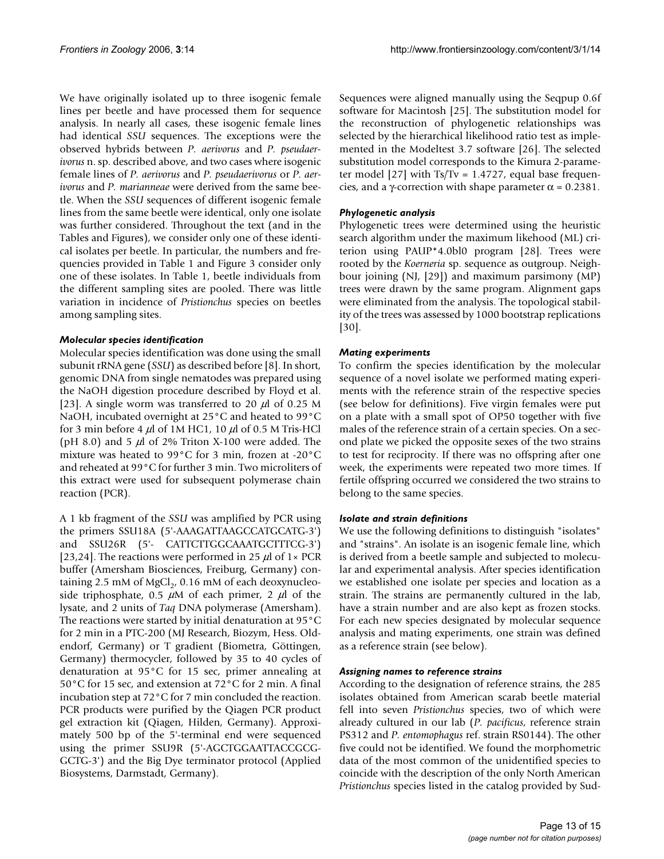We have originally isolated up to three isogenic female lines per beetle and have processed them for sequence analysis. In nearly all cases, these isogenic female lines had identical *SSU* sequences. The exceptions were the observed hybrids between *P. aerivorus* and *P. pseudaerivorus* n. sp. described above, and two cases where isogenic female lines of *P. aerivorus* and *P. pseudaerivorus* or *P. aerivorus* and *P. marianneae* were derived from the same beetle. When the *SSU* sequences of different isogenic female lines from the same beetle were identical, only one isolate was further considered. Throughout the text (and in the Tables and Figures), we consider only one of these identical isolates per beetle. In particular, the numbers and frequencies provided in Table 1 and Figure 3 consider only one of these isolates. In Table 1, beetle individuals from the different sampling sites are pooled. There was little variation in incidence of *Pristionchus* species on beetles among sampling sites.

## *Molecular species identification*

Molecular species identification was done using the small subunit rRNA gene (*SSU*) as described before [8]. In short, genomic DNA from single nematodes was prepared using the NaOH digestion procedure described by Floyd et al. [23]. A single worm was transferred to 20  $\mu$ l of 0.25 M NaOH, incubated overnight at 25°C and heated to 99°C for 3 min before 4  $\mu$ l of 1M HC1, 10  $\mu$ l of 0.5 M Tris-HCl (pH 8.0) and 5  $\mu$ l of 2% Triton X-100 were added. The mixture was heated to 99°C for 3 min, frozen at -20°C and reheated at 99°C for further 3 min. Two microliters of this extract were used for subsequent polymerase chain reaction (PCR).

A 1 kb fragment of the *SSU* was amplified by PCR using the primers SSU18A (5'-AAAGATTAAGCCATGCATG-3') and SSU26R (5'- CATTCTTGGCAAATGCTTTCG-3') [23,24]. The reactions were performed in 25  $\mu$ l of 1× PCR buffer (Amersham Biosciences, Freiburg, Germany) containing 2.5 mM of  $MgCl<sub>2</sub>$ , 0.16 mM of each deoxynucleoside triphosphate, 0.5  $\mu$ M of each primer, 2  $\mu$ l of the lysate, and 2 units of *Taq* DNA polymerase (Amersham). The reactions were started by initial denaturation at 95°C for 2 min in a PTC-200 (MJ Research, Biozym, Hess. Oldendorf, Germany) or T gradient (Biometra, Göttingen, Germany) thermocycler, followed by 35 to 40 cycles of denaturation at 95°C for 15 sec, primer annealing at 50°C for 15 sec, and extension at 72°C for 2 min. A final incubation step at 72°C for 7 min concluded the reaction. PCR products were purified by the Qiagen PCR product gel extraction kit (Qiagen, Hilden, Germany). Approximately 500 bp of the 5'-terminal end were sequenced using the primer SSU9R (5'-AGCTGGAATTACCGCG-GCTG-3') and the Big Dye terminator protocol (Applied Biosystems, Darmstadt, Germany).

Sequences were aligned manually using the Seqpup 0.6f software for Macintosh [25]. The substitution model for the reconstruction of phylogenetic relationships was selected by the hierarchical likelihood ratio test as implemented in the Modeltest 3.7 software [26]. The selected substitution model corresponds to the Kimura 2-parameter model [27] with Ts/Tv = 1.4727, equal base frequencies, and a γ-correction with shape parameter  $\alpha$  = 0.2381.

## *Phylogenetic analysis*

Phylogenetic trees were determined using the heuristic search algorithm under the maximum likehood (ML) criterion using PAUP\*4.0bl0 program [28]. Trees were rooted by the *Koerneria* sp. sequence as outgroup. Neighbour joining (NJ, [29]) and maximum parsimony (MP) trees were drawn by the same program. Alignment gaps were eliminated from the analysis. The topological stability of the trees was assessed by 1000 bootstrap replications [30].

#### *Mating experiments*

To confirm the species identification by the molecular sequence of a novel isolate we performed mating experiments with the reference strain of the respective species (see below for definitions). Five virgin females were put on a plate with a small spot of OP50 together with five males of the reference strain of a certain species. On a second plate we picked the opposite sexes of the two strains to test for reciprocity. If there was no offspring after one week, the experiments were repeated two more times. If fertile offspring occurred we considered the two strains to belong to the same species.

#### *Isolate and strain definitions*

We use the following definitions to distinguish "isolates" and "strains". An isolate is an isogenic female line, which is derived from a beetle sample and subjected to molecular and experimental analysis. After species identification we established one isolate per species and location as a strain. The strains are permanently cultured in the lab, have a strain number and are also kept as frozen stocks. For each new species designated by molecular sequence analysis and mating experiments, one strain was defined as a reference strain (see below).

#### *Assigning names to reference strains*

According to the designation of reference strains, the 285 isolates obtained from American scarab beetle material fell into seven *Pristionchus* species, two of which were already cultured in our lab (*P. pacificus*, reference strain PS312 and *P. entomophagus* ref. strain RS0144). The other five could not be identified. We found the morphometric data of the most common of the unidentified species to coincide with the description of the only North American *Pristionchus* species listed in the catalog provided by Sud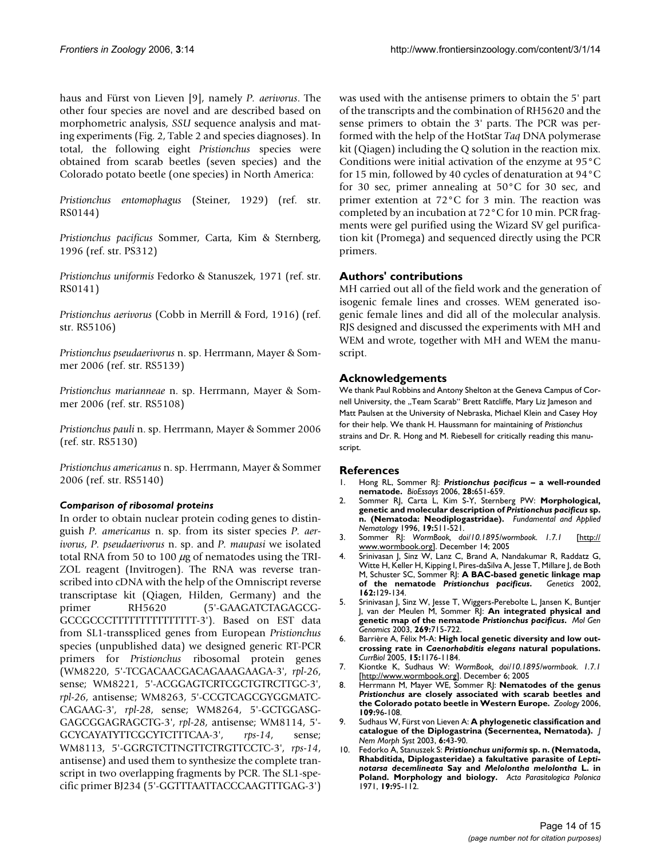haus and Fürst von Lieven [9], namely *P. aerivorus*. The other four species are novel and are described based on morphometric analysis, *SSU* sequence analysis and mating experiments (Fig. 2, Table 2 and species diagnoses). In total, the following eight *Pristionchus* species were obtained from scarab beetles (seven species) and the Colorado potato beetle (one species) in North America:

*Pristionchus entomophagus* (Steiner, 1929) (ref. str. RS0144)

*Pristionchus pacificus* Sommer, Carta, Kim & Sternberg, 1996 (ref. str. PS312)

*Pristionchus uniformis* Fedorko & Stanuszek, 1971 (ref. str. RS0141)

*Pristionchus aerivorus* (Cobb in Merrill & Ford, 1916) (ref. str. RS5106)

*Pristionchus pseudaerivorus* n. sp. Herrmann, Mayer & Sommer 2006 (ref. str. RS5139)

*Pristionchus marianneae* n. sp. Herrmann, Mayer & Sommer 2006 (ref. str. RS5108)

*Pristionchus pauli* n. sp. Herrmann, Mayer & Sommer 2006 (ref. str. RS5130)

*Pristionchus americanus* n. sp. Herrmann, Mayer & Sommer 2006 (ref. str. RS5140)

#### *Comparison of ribosomal proteins*

In order to obtain nuclear protein coding genes to distinguish *P. americanus* n. sp. from its sister species *P. aerivorus*, *P. pseudaerivorus* n. sp. and *P. maupasi* we isolated total RNA from 50 to 100  $\mu$ g of nematodes using the TRI-ZOL reagent (Invitrogen). The RNA was reverse transcribed into cDNA with the help of the Omniscript reverse transcriptase kit (Qiagen, Hilden, Germany) and the primer RH5620 (5'-GAAGATCTAGAGCG-GCCGCCCTTTTTTTTTTTTTTT-3'). Based on EST data from SL1-transspliced genes from European *Pristionchus* species (unpublished data) we designed generic RT-PCR primers for *Pristionchus* ribosomal protein genes (WM8220, 5'-TCGACAACGACAGAAAGAAGA-3', *rpl-26*, sense; WM8221, 5'-ACGGAGTCRTCGCTGTRCTTGC-3', *rpl-26*, antisense; WM8263, 5'-CCGTCAGCGYGGMATC-CAGAAG-3', *rpl-28*, sense; WM8264, 5'-GCTGGASG-GAGCGGAGRAGCTG-3', *rpl-28*, antisense; WM8114, 5'- GCYCAYATYTTCGCYTCTTTCAA-3', *rps-14*, sense; WM8113, 5'-GGRGTCTTNGTTCTRGTTCCTC-3', *rps-14*, antisense) and used them to synthesize the complete transcript in two overlapping fragments by PCR. The SL1-specific primer BJ234 (5'-GGTTTAATTACCCAAGTTTGAG-3') was used with the antisense primers to obtain the 5' part of the transcripts and the combination of RH5620 and the sense primers to obtain the 3' parts. The PCR was performed with the help of the HotStar *Taq* DNA polymerase kit (Qiagen) including the Q solution in the reaction mix. Conditions were initial activation of the enzyme at 95°C for 15 min, followed by 40 cycles of denaturation at 94°C for 30 sec, primer annealing at 50°C for 30 sec, and primer extention at 72°C for 3 min. The reaction was completed by an incubation at 72°C for 10 min. PCR fragments were gel purified using the Wizard SV gel purification kit (Promega) and sequenced directly using the PCR primers.

#### **Authors' contributions**

MH carried out all of the field work and the generation of isogenic female lines and crosses. WEM generated isogenic female lines and did all of the molecular analysis. RJS designed and discussed the experiments with MH and WEM and wrote, together with MH and WEM the manuscript.

#### **Acknowledgements**

We thank Paul Robbins and Antony Shelton at the Geneva Campus of Cornell University, the "Team Scarab" Brett Ratcliffe, Mary Liz Jameson and Matt Paulsen at the University of Nebraska, Michael Klein and Casey Hoy for their help. We thank H. Haussmann for maintaining of *Pristionchus*  strains and Dr. R. Hong and M. Riebesell for critically reading this manuscript.

#### **References**

- 1. Hong RL, Sommer RJ: *Pristionchus pacificus*  **[a well-rounded](http://www.ncbi.nlm.nih.gov/entrez/query.fcgi?cmd=Retrieve&db=PubMed&dopt=Abstract&list_uids=16700067) [nematode.](http://www.ncbi.nlm.nih.gov/entrez/query.fcgi?cmd=Retrieve&db=PubMed&dopt=Abstract&list_uids=16700067)** *BioEssays* 2006, **28:**651-659.
- 2. Sommer RJ, Carta L, Kim S-Y, Sternberg PW: **Morphological, genetic and molecular description of** *Pristionchus pacificus* **sp. n. (Nematoda: Neodiplogastridae).** *Fundamental and Applied Nematology* 1996, **19:**511-521.
- 3. Sommer RJ: WormBook, doi/10.1895/wormbook. 1.7.1 [\[http://](http://www.wormbook.org) [www.wormbook.org](http://www.wormbook.org)]. December 14; 2005
- 4. Srinivasan J, Sinz W, Lanz C, Brand A, Nandakumar R, Raddatz G, Witte H, Keller H, Kipping I, Pires-daSilva A, Jesse T, Millare J, de Both M, Schuster SC, Sommer RJ: **A BAC-based genetic linkage map of the nematode Pristionchus pacificus[.](http://www.ncbi.nlm.nih.gov/entrez/query.fcgi?cmd=Retrieve&db=PubMed&dopt=Abstract&list_uids=12242228) 162:**129-134.
- 5. Srinivasan J, Sinz W, Jesse T, Wiggers-Perebolte L, Jansen K, Buntjer J, van der Meulen M, Sommer RJ: **An integrated physical and genetic map of the nematode** *Pristionchus pacificus***.** *Mol Gen Genomics* 2003, **269:**715-722.
- 6. Barrière A, Félix M-A: **High local genetic diversity and low outcrossing rate in** *Caenorhabditis elegans* **natural populations.** *CurrBiol* 2005, **15:**1176-1184.
- 7. Kiontke K, Sudhaus W: *WormBook, doi/10.1895/wormbook. 1.7.1* [<http://www.wormbook.org>]. December 6; 2005
- 8. Herrmann M, Mayer WE, Sommer RJ: **Nematodes of the genus** *Pristionchus* **[are closely associated with scarab beetles and](http://www.ncbi.nlm.nih.gov/entrez/query.fcgi?cmd=Retrieve&db=PubMed&dopt=Abstract&list_uids=16616467) [the Colorado potato beetle in Western Europe.](http://www.ncbi.nlm.nih.gov/entrez/query.fcgi?cmd=Retrieve&db=PubMed&dopt=Abstract&list_uids=16616467)** *Zoology* 2006, **109:**96-108.
- 9. Sudhaus W, Fürst von Lieven A: **A phylogenetic classification and catalogue of the Diplogastrina (Secernentea, Nematoda).** *J Nem Morph Syst* 2003, **6:**43-90.
- 10. Fedorko A, Stanuszek S: *Pristionchus uniformis* **sp. n. (Nematoda, Rhabditida, Diplogasteridae) a fakultative parasite of** *Leptinotarsa decemlineata* **Say and** *Melolontha melolontha* **L. in Poland. Morphology and biology.** *Acta Parasitologica Polonica* 1971, **19:**95-112.